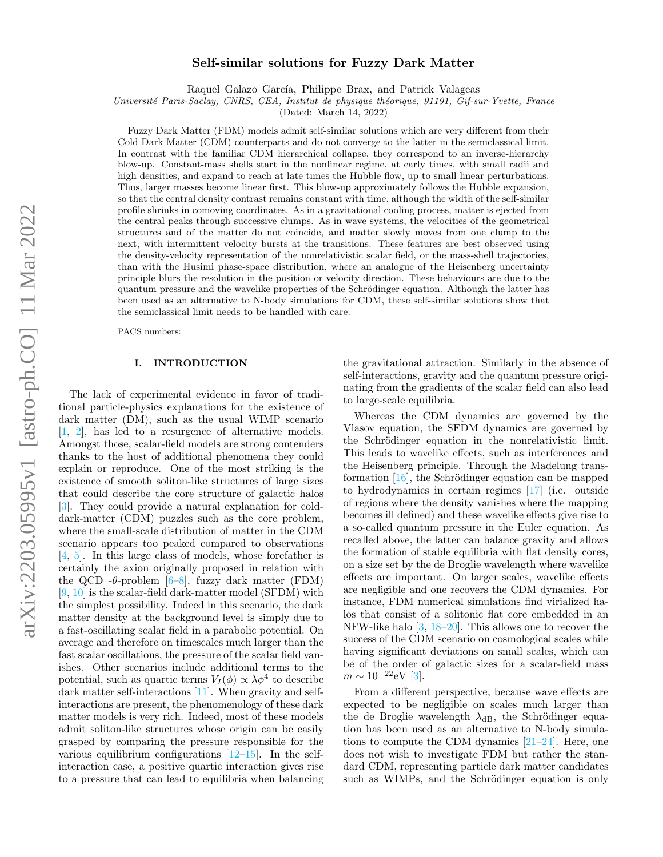# Self-similar solutions for Fuzzy Dark Matter

Raquel Galazo García, Philippe Brax, and Patrick Valageas

Université Paris-Saclay, CNRS, CEA, Institut de physique théorique, 91191, Gif-sur-Yvette, France

(Dated: March 14, 2022)

Fuzzy Dark Matter (FDM) models admit self-similar solutions which are very different from their Cold Dark Matter (CDM) counterparts and do not converge to the latter in the semiclassical limit. In contrast with the familiar CDM hierarchical collapse, they correspond to an inverse-hierarchy blow-up. Constant-mass shells start in the nonlinear regime, at early times, with small radii and high densities, and expand to reach at late times the Hubble flow, up to small linear perturbations. Thus, larger masses become linear first. This blow-up approximately follows the Hubble expansion, so that the central density contrast remains constant with time, although the width of the self-similar profile shrinks in comoving coordinates. As in a gravitational cooling process, matter is ejected from the central peaks through successive clumps. As in wave systems, the velocities of the geometrical structures and of the matter do not coincide, and matter slowly moves from one clump to the next, with intermittent velocity bursts at the transitions. These features are best observed using the density-velocity representation of the nonrelativistic scalar field, or the mass-shell trajectories, than with the Husimi phase-space distribution, where an analogue of the Heisenberg uncertainty principle blurs the resolution in the position or velocity direction. These behaviours are due to the quantum pressure and the wavelike properties of the Schrödinger equation. Although the latter has been used as an alternative to N-body simulations for CDM, these self-similar solutions show that the semiclassical limit needs to be handled with care.

PACS numbers:

## I. INTRODUCTION

The lack of experimental evidence in favor of traditional particle-physics explanations for the existence of dark matter (DM), such as the usual WIMP scenario [\[1,](#page-19-0) [2\]](#page-19-1), has led to a resurgence of alternative models. Amongst those, scalar-field models are strong contenders thanks to the host of additional phenomena they could explain or reproduce. One of the most striking is the existence of smooth soliton-like structures of large sizes that could describe the core structure of galactic halos [\[3\]](#page-19-2). They could provide a natural explanation for colddark-matter (CDM) puzzles such as the core problem, where the small-scale distribution of matter in the CDM scenario appears too peaked compared to observations [\[4,](#page-19-3) [5\]](#page-19-4). In this large class of models, whose forefather is certainly the axion originally proposed in relation with the QCD - $\theta$ -problem [\[6](#page-19-5)[–8\]](#page-19-6), fuzzy dark matter (FDM) [\[9,](#page-19-7) [10\]](#page-19-8) is the scalar-field dark-matter model (SFDM) with the simplest possibility. Indeed in this scenario, the dark matter density at the background level is simply due to a fast-oscillating scalar field in a parabolic potential. On average and therefore on timescales much larger than the fast scalar oscillations, the pressure of the scalar field vanishes. Other scenarios include additional terms to the potential, such as quartic terms  $V_I(\phi) \propto \lambda \phi^4$  to describe dark matter self-interactions [\[11\]](#page-19-9). When gravity and selfinteractions are present, the phenomenology of these dark matter models is very rich. Indeed, most of these models admit soliton-like structures whose origin can be easily grasped by comparing the pressure responsible for the various equilibrium configurations  $[12-15]$  $[12-15]$ . In the selfinteraction case, a positive quartic interaction gives rise to a pressure that can lead to equilibria when balancing

the gravitational attraction. Similarly in the absence of self-interactions, gravity and the quantum pressure originating from the gradients of the scalar field can also lead to large-scale equilibria.

Whereas the CDM dynamics are governed by the Vlasov equation, the SFDM dynamics are governed by the Schrödinger equation in the nonrelativistic limit. This leads to wavelike effects, such as interferences and the Heisenberg principle. Through the Madelung transformation  $[16]$ , the Schrödinger equation can be mapped to hydrodynamics in certain regimes [\[17\]](#page-19-13) (i.e. outside of regions where the density vanishes where the mapping becomes ill defined) and these wavelike effects give rise to a so-called quantum pressure in the Euler equation. As recalled above, the latter can balance gravity and allows the formation of stable equilibria with flat density cores, on a size set by the de Broglie wavelength where wavelike effects are important. On larger scales, wavelike effects are negligible and one recovers the CDM dynamics. For instance, FDM numerical simulations find virialized halos that consist of a solitonic flat core embedded in an NFW-like halo [\[3,](#page-19-2) [18–](#page-19-14)[20\]](#page-20-0). This allows one to recover the success of the CDM scenario on cosmological scales while having significant deviations on small scales, which can be of the order of galactic sizes for a scalar-field mass  $m \sim 10^{-22} \text{eV}$  [\[3\]](#page-19-2).

From a different perspective, because wave effects are expected to be negligible on scales much larger than the de Broglie wavelength  $\lambda_{dB}$ , the Schrödinger equation has been used as an alternative to N-body simulations to compute the CDM dynamics  $[21-24]$  $[21-24]$ . Here, one does not wish to investigate FDM but rather the standard CDM, representing particle dark matter candidates such as WIMPs, and the Schrödinger equation is only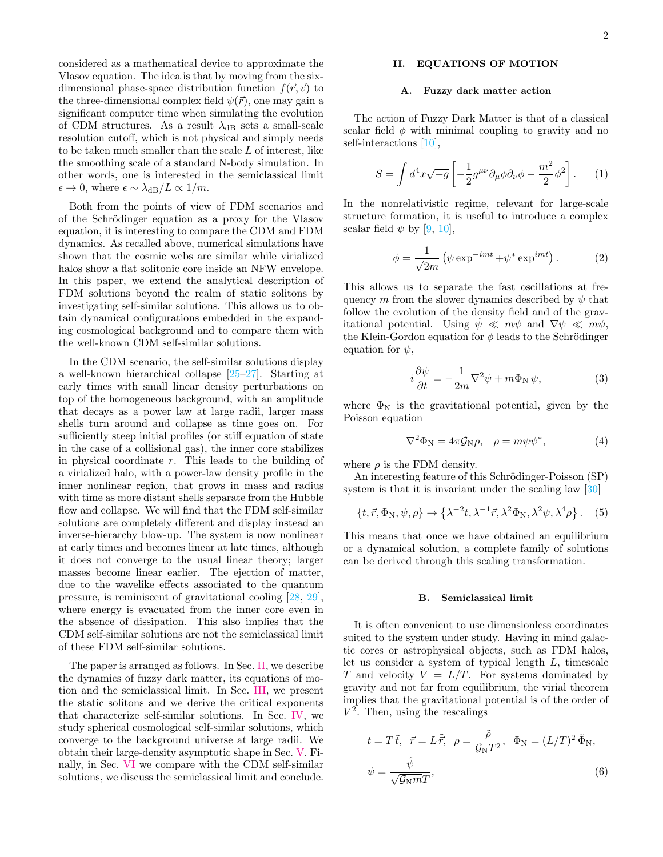considered as a mathematical device to approximate the Vlasov equation. The idea is that by moving from the sixdimensional phase-space distribution function  $f(\vec{r}, \vec{v})$  to the three-dimensional complex field  $\psi(\vec{r})$ , one may gain a significant computer time when simulating the evolution of CDM structures. As a result  $\lambda_{dB}$  sets a small-scale resolution cutoff, which is not physical and simply needs to be taken much smaller than the scale L of interest, like the smoothing scale of a standard N-body simulation. In other words, one is interested in the semiclassical limit  $\epsilon \to 0$ , where  $\epsilon \sim \lambda_{\rm dB}/L \propto 1/m$ .

Both from the points of view of FDM scenarios and of the Schrödinger equation as a proxy for the Vlasov equation, it is interesting to compare the CDM and FDM dynamics. As recalled above, numerical simulations have shown that the cosmic webs are similar while virialized halos show a flat solitonic core inside an NFW envelope. In this paper, we extend the analytical description of FDM solutions beyond the realm of static solitons by investigating self-similar solutions. This allows us to obtain dynamical configurations embedded in the expanding cosmological background and to compare them with the well-known CDM self-similar solutions.

In the CDM scenario, the self-similar solutions display a well-known hierarchical collapse [\[25–](#page-20-3)[27\]](#page-20-4). Starting at early times with small linear density perturbations on top of the homogeneous background, with an amplitude that decays as a power law at large radii, larger mass shells turn around and collapse as time goes on. For sufficiently steep initial profiles (or stiff equation of state in the case of a collisional gas), the inner core stabilizes in physical coordinate r. This leads to the building of a virialized halo, with a power-law density profile in the inner nonlinear region, that grows in mass and radius with time as more distant shells separate from the Hubble flow and collapse. We will find that the FDM self-similar solutions are completely different and display instead an inverse-hierarchy blow-up. The system is now nonlinear at early times and becomes linear at late times, although it does not converge to the usual linear theory; larger masses become linear earlier. The ejection of matter, due to the wavelike effects associated to the quantum pressure, is reminiscent of gravitational cooling [\[28,](#page-20-5) [29\]](#page-20-6), where energy is evacuated from the inner core even in the absence of dissipation. This also implies that the CDM self-similar solutions are not the semiclassical limit of these FDM self-similar solutions.

The paper is arranged as follows. In Sec. [II,](#page-1-0) we describe the dynamics of fuzzy dark matter, its equations of motion and the semiclassical limit. In Sec. [III,](#page-4-0) we present the static solitons and we derive the critical exponents that characterize self-similar solutions. In Sec. [IV,](#page-5-0) we study spherical cosmological self-similar solutions, which converge to the background universe at large radii. We obtain their large-density asymptotic shape in Sec. [V.](#page-17-0) Finally, in Sec. [VI](#page-18-0) we compare with the CDM self-similar solutions, we discuss the semiclassical limit and conclude.

# <span id="page-1-0"></span>II. EQUATIONS OF MOTION

### A. Fuzzy dark matter action

The action of Fuzzy Dark Matter is that of a classical scalar field  $\phi$  with minimal coupling to gravity and no self-interactions [\[10\]](#page-19-8),

$$
S = \int d^4x \sqrt{-g} \left[ -\frac{1}{2} g^{\mu\nu} \partial_\mu \phi \partial_\nu \phi - \frac{m^2}{2} \phi^2 \right]. \tag{1}
$$

In the nonrelativistic regime, relevant for large-scale structure formation, it is useful to introduce a complex scalar field  $\psi$  by [\[9,](#page-19-7) [10\]](#page-19-8),

$$
\phi = \frac{1}{\sqrt{2m}} \left( \psi \exp^{-imt} + \psi^* \exp^{imt} \right). \tag{2}
$$

This allows us to separate the fast oscillations at frequency m from the slower dynamics described by  $\psi$  that follow the evolution of the density field and of the gravitational potential. Using  $\psi \ll m\psi$  and  $\nabla \psi \ll m\psi$ , the Klein-Gordon equation for  $\phi$  leads to the Schrödinger equation for  $\psi$ ,

<span id="page-1-3"></span>
$$
i\frac{\partial \psi}{\partial t} = -\frac{1}{2m}\nabla^2 \psi + m\Phi_N \psi,
$$
 (3)

where  $\Phi_N$  is the gravitational potential, given by the Poisson equation

<span id="page-1-4"></span>
$$
\nabla^2 \Phi_{\rm N} = 4\pi \mathcal{G}_{\rm N}\rho, \quad \rho = m\psi \psi^*, \tag{4}
$$

where  $\rho$  is the FDM density.

An interesting feature of this Schrödinger-Poisson (SP) system is that it is invariant under the scaling law [\[30\]](#page-20-7)

<span id="page-1-2"></span>
$$
\{t, \vec{r}, \Phi_N, \psi, \rho\} \to \left\{\lambda^{-2}t, \lambda^{-1}\vec{r}, \lambda^2\Phi_N, \lambda^2\psi, \lambda^4\rho\right\}.
$$
 (5)

This means that once we have obtained an equilibrium or a dynamical solution, a complete family of solutions can be derived through this scaling transformation.

#### B. Semiclassical limit

It is often convenient to use dimensionless coordinates suited to the system under study. Having in mind galactic cores or astrophysical objects, such as FDM halos, let us consider a system of typical length L, timescale T and velocity  $V = L/T$ . For systems dominated by gravity and not far from equilibrium, the virial theorem implies that the gravitational potential is of the order of  $V^2$ . Then, using the rescalings

<span id="page-1-1"></span>
$$
t = T\tilde{t}, \quad \vec{r} = L\tilde{\vec{r}}, \quad \rho = \frac{\tilde{\rho}}{\mathcal{G}_{\rm N}T^2}, \quad \Phi_{\rm N} = (L/T)^2 \tilde{\Phi}_{\rm N},
$$

$$
\psi = \frac{\tilde{\psi}}{\sqrt{\mathcal{G}_{\rm N}m}}.
$$
(6)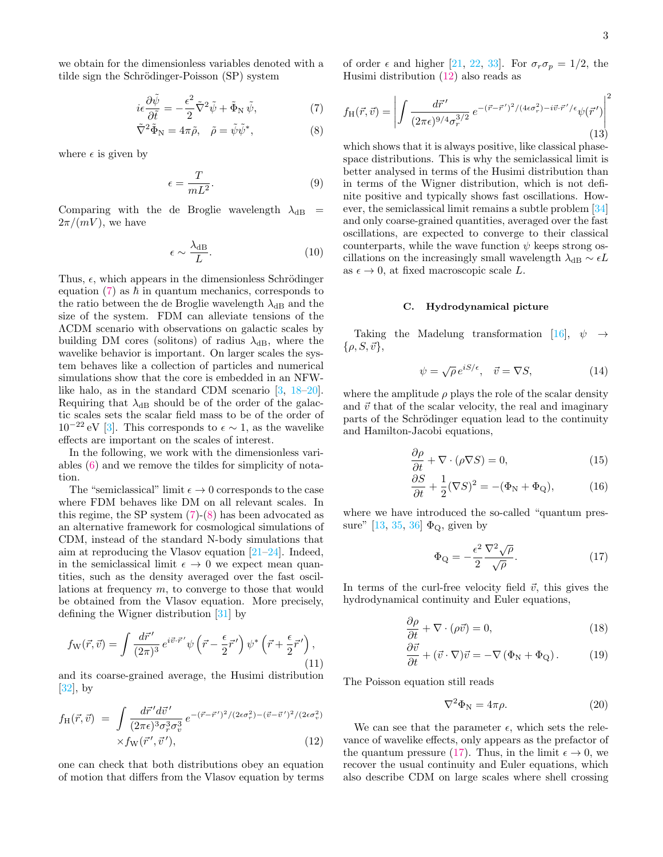we obtain for the dimensionless variables denoted with a tilde sign the Schrödinger-Poisson (SP) system

<span id="page-2-0"></span>
$$
i\epsilon \frac{\partial \tilde{\psi}}{\partial \tilde{t}} = -\frac{\epsilon^2}{2} \tilde{\nabla}^2 \tilde{\psi} + \tilde{\Phi}_N \tilde{\psi},\tag{7}
$$

$$
\tilde{\nabla}^2 \tilde{\Phi}_N = 4\pi \tilde{\rho}, \quad \tilde{\rho} = \tilde{\psi}\tilde{\psi}^*, \tag{8}
$$

where  $\epsilon$  is given by

$$
\epsilon = \frac{T}{mL^2}.\tag{9}
$$

Comparing with the de Broglie wavelength  $\lambda_{dB}$  =  $2\pi/(mV)$ , we have

$$
\epsilon \sim \frac{\lambda_{\text{dB}}}{L}.\tag{10}
$$

Thus,  $\epsilon$ , which appears in the dimensionless Schrödinger equation  $(7)$  as  $\hbar$  in quantum mechanics, corresponds to the ratio between the de Broglie wavelength  $\lambda_{dB}$  and the size of the system. FDM can alleviate tensions of the ΛCDM scenario with observations on galactic scales by building DM cores (solitons) of radius  $\lambda_{dB}$ , where the wavelike behavior is important. On larger scales the system behaves like a collection of particles and numerical simulations show that the core is embedded in an NFWlike halo, as in the standard CDM scenario [\[3,](#page-19-2) [18–](#page-19-14)[20\]](#page-20-0). Requiring that  $\lambda_{dB}$  should be of the order of the galactic scales sets the scalar field mass to be of the order of  $10^{-22}$  eV [\[3\]](#page-19-2). This corresponds to  $\epsilon \sim 1$ , as the wavelike effects are important on the scales of interest.

In the following, we work with the dimensionless variables [\(6\)](#page-1-1) and we remove the tildes for simplicity of notation.

The "semiclassical" limit  $\epsilon \to 0$  corresponds to the case where FDM behaves like DM on all relevant scales. In this regime, the SP system  $(7)-(8)$  $(7)-(8)$  $(7)-(8)$  has been advocated as an alternative framework for cosmological simulations of CDM, instead of the standard N-body simulations that aim at reproducing the Vlasov equation [\[21](#page-20-1)[–24\]](#page-20-2). Indeed, in the semiclassical limit  $\epsilon \to 0$  we expect mean quantities, such as the density averaged over the fast oscillations at frequency  $m$ , to converge to those that would be obtained from the Vlasov equation. More precisely, defining the Wigner distribution [\[31\]](#page-20-8) by

$$
f_{\rm W}(\vec{r},\vec{v}) = \int \frac{d\vec{r}'}{(2\pi)^3} e^{i\vec{v}\cdot\vec{r}'} \psi\left(\vec{r} - \frac{\epsilon}{2}\vec{r}'\right) \psi^* \left(\vec{r} + \frac{\epsilon}{2}\vec{r}'\right),\tag{11}
$$

and its coarse-grained average, the Husimi distribution  $|32|$ , by

<span id="page-2-1"></span>
$$
f_{\rm H}(\vec{r},\vec{v}) = \int \frac{d\vec{r}' d\vec{v}'}{(2\pi\epsilon)^3 \sigma_r^3 \sigma_v^3} e^{-(\vec{r}-\vec{r}')^2/(2\epsilon\sigma_r^2) - (\vec{v}-\vec{v}')^2/(2\epsilon\sigma_v^2)}
$$

$$
\times f_{\rm W}(\vec{r}',\vec{v}'), \tag{12}
$$

one can check that both distributions obey an equation of motion that differs from the Vlasov equation by terms of order  $\epsilon$  and higher [\[21,](#page-20-1) [22,](#page-20-10) [33\]](#page-20-11). For  $\sigma_r \sigma_p = 1/2$ , the Husimi distribution [\(12\)](#page-2-1) also reads as

<span id="page-2-5"></span>
$$
f_{\rm H}(\vec{r},\vec{v}) = \left| \int \frac{d\vec{r}'}{(2\pi\epsilon)^{9/4}\sigma_r^{3/2}} e^{-(\vec{r}-\vec{r}')^2/(4\epsilon\sigma_r^2) - i\vec{v}\cdot\vec{r}'/\epsilon} \psi(\vec{r}') \right|^2 \tag{13}
$$

which shows that it is always positive, like classical phasespace distributions. This is why the semiclassical limit is better analysed in terms of the Husimi distribution than in terms of the Wigner distribution, which is not definite positive and typically shows fast oscillations. However, the semiclassical limit remains a subtle problem [\[34\]](#page-20-12) and only coarse-grained quantities, averaged over the fast oscillations, are expected to converge to their classical counterparts, while the wave function  $\psi$  keeps strong oscillations on the increasingly small wavelength  $\lambda_{dB} \sim \epsilon L$ as  $\epsilon \to 0$ , at fixed macroscopic scale L.

## C. Hydrodynamical picture

Taking the Madelung transformation [\[16\]](#page-19-12),  $\psi \rightarrow$  $\{\rho, S, \vec{v}\},\$ 

<span id="page-2-4"></span>
$$
\psi = \sqrt{\rho} \, e^{iS/\epsilon}, \quad \vec{v} = \nabla S,\tag{14}
$$

where the amplitude  $\rho$  plays the role of the scalar density and  $\vec{v}$  that of the scalar velocity, the real and imaginary parts of the Schrödinger equation lead to the continuity and Hamilton-Jacobi equations,

<span id="page-2-6"></span>
$$
\frac{\partial \rho}{\partial t} + \nabla \cdot (\rho \nabla S) = 0,\tag{15}
$$

$$
\frac{\partial S}{\partial t} + \frac{1}{2} (\nabla S)^2 = -(\Phi_N + \Phi_Q),\tag{16}
$$

where we have introduced the so-called "quantum pressure"  $[13, 35, 36]$  $[13, 35, 36]$  $[13, 35, 36]$  $[13, 35, 36]$  $[13, 35, 36]$   $\Phi_{\mathbf{Q}}$ , given by

<span id="page-2-2"></span>
$$
\Phi_{\mathbf{Q}} = -\frac{\epsilon^2}{2} \frac{\nabla^2 \sqrt{\rho}}{\sqrt{\rho}}.
$$
\n(17)

In terms of the curl-free velocity field  $\vec{v}$ , this gives the hydrodynamical continuity and Euler equations,

<span id="page-2-3"></span>
$$
\frac{\partial \rho}{\partial t} + \nabla \cdot (\rho \vec{v}) = 0,\tag{18}
$$

$$
\frac{\partial \vec{v}}{\partial t} + (\vec{v} \cdot \nabla)\vec{v} = -\nabla (\Phi_{\rm N} + \Phi_{\rm Q}). \tag{19}
$$

The Poisson equation still reads

<span id="page-2-7"></span>
$$
\nabla^2 \Phi_{\rm N} = 4\pi \rho. \tag{20}
$$

We can see that the parameter  $\epsilon$ , which sets the relevance of wavelike effects, only appears as the prefactor of the quantum pressure [\(17\)](#page-2-2). Thus, in the limit  $\epsilon \to 0$ , we recover the usual continuity and Euler equations, which also describe CDM on large scales where shell crossing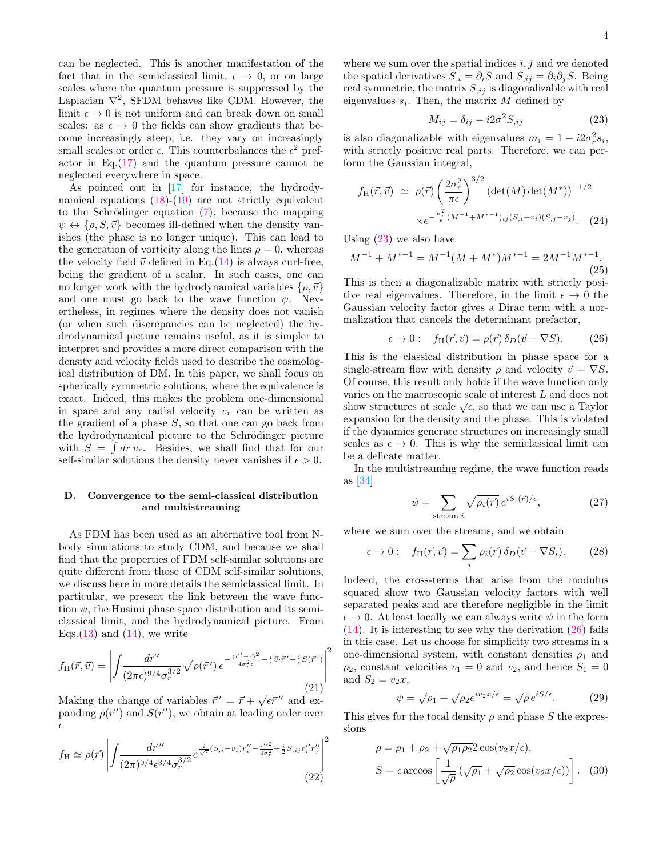can be neglected. This is another manifestation of the fact that in the semiclassical limit,  $\epsilon \to 0$ , or on large scales where the quantum pressure is suppressed by the Laplacian  $\nabla^2$ , SFDM behaves like CDM. However, the limit  $\epsilon \to 0$  is not uniform and can break down on small scales: as  $\epsilon \to 0$  the fields can show gradients that become increasingly steep, i.e. they vary on increasingly small scales or order  $\epsilon$ . This counterbalances the  $\epsilon^2$  prefactor in Eq. $(17)$  and the quantum pressure cannot be neglected everywhere in space.

As pointed out in [\[17\]](#page-19-13) for instance, the hydrodynamical equations [\(18\)](#page-2-3)-[\(19\)](#page-2-3) are not strictly equivalent to the Schrödinger equation  $(7)$ , because the mapping  $\psi \leftrightarrow {\rho, S, \vec{v}}$  becomes ill-defined when the density vanishes (the phase is no longer unique). This can lead to the generation of vorticity along the lines  $\rho = 0$ , whereas the velocity field  $\vec{v}$  defined in Eq.[\(14\)](#page-2-4) is always curl-free, being the gradient of a scalar. In such cases, one can no longer work with the hydrodynamical variables  $\{\rho, \vec{v}\}\$ and one must go back to the wave function  $\psi$ . Nevertheless, in regimes where the density does not vanish (or when such discrepancies can be neglected) the hydrodynamical picture remains useful, as it is simpler to interpret and provides a more direct comparison with the density and velocity fields used to describe the cosmological distribution of DM. In this paper, we shall focus on spherically symmetric solutions, where the equivalence is exact. Indeed, this makes the problem one-dimensional in space and any radial velocity  $v_r$  can be written as the gradient of a phase  $S$ , so that one can go back from the hydrodynamical picture to the Schrödinger picture with  $S = \int dr v_r$ . Besides, we shall find that for our self-similar solutions the density never vanishes if  $\epsilon > 0$ .

## D. Convergence to the semi-classical distribution and multistreaming

As FDM has been used as an alternative tool from Nbody simulations to study CDM, and because we shall find that the properties of FDM self-similar solutions are quite different from those of CDM self-similar solutions, we discuss here in more details the semiclassical limit. In particular, we present the link between the wave function  $\psi$ , the Husimi phase space distribution and its semiclassical limit, and the hydrodynamical picture. From Eqs.  $(13)$  and  $(14)$ , we write

$$
f_{\rm H}(\vec{r},\vec{v}) = \left| \int \frac{d\vec{r}'}{(2\pi\epsilon)^{9/4}\sigma_r^{3/2}} \sqrt{\rho(\vec{r}')}\, e^{-\frac{(\vec{r}'-\vec{r})^2}{4\sigma_r^2\epsilon} - \frac{i}{\epsilon}\vec{v}\cdot\vec{r}'+\frac{i}{\epsilon}S(\vec{r}')}\right|^2 \tag{21}
$$

Making the change of variables  $\vec{r}' = \vec{r} + \sqrt{\epsilon} \vec{r}''$  and expanding  $\rho(\vec{r}')$  and  $S(\vec{r}')$ , we obtain at leading order over  $\epsilon$ 

$$
f_{\rm H} \simeq \rho(\vec{r}) \left| \int \frac{d\vec{r}''}{(2\pi)^{9/4} \epsilon^{3/4} \sigma_r^{3/2}} e^{\frac{i}{\sqrt{\epsilon}} (S_{,i} - v_i) r_i'' - \frac{r'^2}{4\sigma_r^2} + \frac{i}{2} S_{,ij} r_i'' r_j''}{(22)} \right|^2
$$

where we sum over the spatial indices  $i, j$  and we denoted the spatial derivatives  $S_{i} = \partial_{i}S$  and  $S_{i} = \partial_{i}\partial_{j}S$ . Being real symmetric, the matrix  $S_{i,j}$  is diagonalizable with real eigenvalues  $s_i$ . Then, the matrix M defined by

<span id="page-3-0"></span>
$$
M_{ij} = \delta_{ij} - i2\sigma^2 S_{,ij} \tag{23}
$$

is also diagonalizable with eigenvalues  $m_i = 1 - i2\sigma_r^2 s_i$ , with strictly positive real parts. Therefore, we can perform the Gaussian integral,

$$
f_{\rm H}(\vec{r}, \vec{v}) \simeq \rho(\vec{r}) \left(\frac{2\sigma_r^2}{\pi\epsilon}\right)^{3/2} \left(\det(M)\det(M^*)\right)^{-1/2}
$$

$$
\times e^{-\frac{\sigma_r^2}{\epsilon}(M^{-1} + M^{*-1})_{ij}(S_{,i} - v_i)(S_{,j} - v_j)}.
$$
 (24)

Using  $(23)$  we also have

$$
M^{-1} + M^{*-1} = M^{-1}(M + M^*)M^{*-1} = 2M^{-1}M^{*-1}.
$$
\n(25)

This is then a diagonalizable matrix with strictly positive real eigenvalues. Therefore, in the limit  $\epsilon \to 0$  the Gaussian velocity factor gives a Dirac term with a normalization that cancels the determinant prefactor,

<span id="page-3-1"></span>
$$
\epsilon \to 0: \quad f_H(\vec{r}, \vec{v}) = \rho(\vec{r}) \,\delta_D(\vec{v} - \nabla S). \tag{26}
$$

This is the classical distribution in phase space for a single-stream flow with density  $\rho$  and velocity  $\vec{v} = \nabla S$ . Of course, this result only holds if the wave function only varies on the macroscopic scale of interest L and does not varies on the macroscopic scale of interest L and does not show structures at scale  $\sqrt{\epsilon}$ , so that we can use a Taylor expansion for the density and the phase. This is violated if the dynamics generate structures on increasingly small scales as  $\epsilon \to 0$ . This is why the semiclassical limit can be a delicate matter.

In the multistreaming regime, the wave function reads as [\[34\]](#page-20-12)

$$
\psi = \sum_{\text{stream } i} \sqrt{\rho_i(\vec{r})} \, e^{i S_i(\vec{r})/\epsilon},\tag{27}
$$

where we sum over the streams, and we obtain

$$
\epsilon \to 0: \quad f_{\rm H}(\vec{r}, \vec{v}) = \sum_{i} \rho_i(\vec{r}) \,\delta_D(\vec{v} - \nabla S_i). \tag{28}
$$

Indeed, the cross-terms that arise from the modulus squared show two Gaussian velocity factors with well separated peaks and are therefore negligible in the limit  $\epsilon \to 0$ . At least locally we can always write  $\psi$  in the form  $(14)$ . It is interesting to see why the derivation  $(26)$  fails in this case. Let us choose for simplicity two streams in a one-dimensional system, with constant densities  $\rho_1$  and  $\rho_2$ , constant velocities  $v_1 = 0$  and  $v_2$ , and hence  $S_1 = 0$ and  $S_2 = v_2x$ ,

$$
\psi = \sqrt{\rho_1} + \sqrt{\rho_2} e^{iv_2 x/\epsilon} = \sqrt{\rho} e^{iS/\epsilon}.
$$
 (29)

This gives for the total density  $\rho$  and phase S the expressions

$$
\rho = \rho_1 + \rho_2 + \sqrt{\rho_1 \rho_2} 2 \cos(v_2 x/\epsilon),
$$
  

$$
S = \epsilon \arccos\left[\frac{1}{\sqrt{\rho}}\left(\sqrt{\rho_1} + \sqrt{\rho_2} \cos(v_2 x/\epsilon)\right)\right]. \quad (30)
$$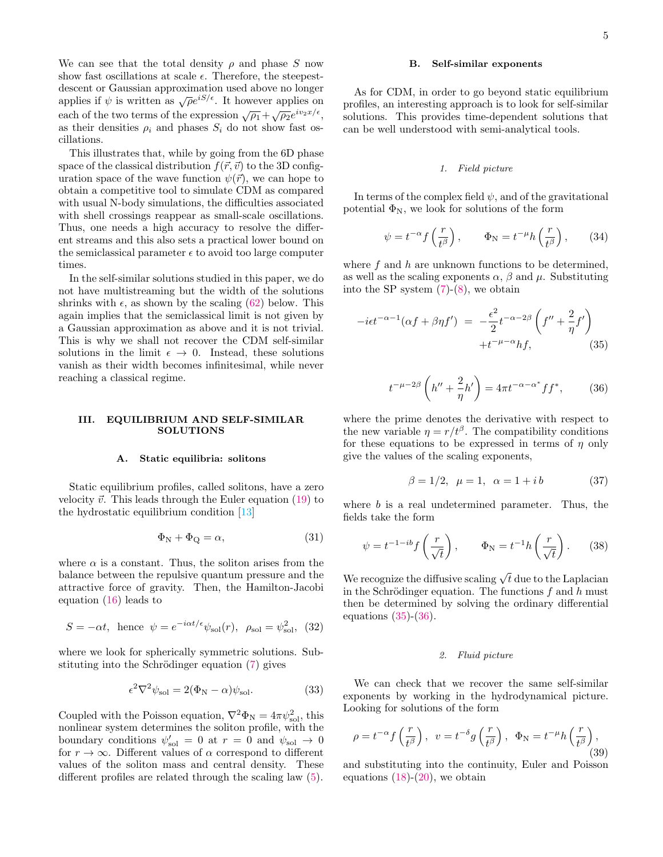We can see that the total density  $\rho$  and phase S now show fast oscillations at scale  $\epsilon$ . Therefore, the steepestdescent or Gaussian approximation used above no longer applies if  $\psi$  is written as  $\sqrt{\rho}e^{iS/\epsilon}$ . It however applies on each of the two terms of the expression  $\sqrt{\rho_1} + \sqrt{\rho_2}e^{iv_2x/\epsilon}$ , as their densities  $\rho_i$  and phases  $S_i$  do not show fast oscillations.

This illustrates that, while by going from the 6D phase space of the classical distribution  $f(\vec{r}, \vec{v})$  to the 3D configuration space of the wave function  $\psi(\vec{r})$ , we can hope to obtain a competitive tool to simulate CDM as compared with usual N-body simulations, the difficulties associated with shell crossings reappear as small-scale oscillations. Thus, one needs a high accuracy to resolve the different streams and this also sets a practical lower bound on the semiclassical parameter  $\epsilon$  to avoid too large computer times.

In the self-similar solutions studied in this paper, we do not have multistreaming but the width of the solutions shrinks with  $\epsilon$ , as shown by the scaling [\(62\)](#page-6-0) below. This again implies that the semiclassical limit is not given by a Gaussian approximation as above and it is not trivial. This is why we shall not recover the CDM self-similar solutions in the limit  $\epsilon \to 0$ . Instead, these solutions vanish as their width becomes infinitesimal, while never reaching a classical regime.

### <span id="page-4-0"></span>III. EQUILIBRIUM AND SELF-SIMILAR SOLUTIONS

#### A. Static equilibria: solitons

Static equilibrium profiles, called solitons, have a zero velocity  $\vec{v}$ . This leads through the Euler equation [\(19\)](#page-2-3) to the hydrostatic equilibrium condition [\[13\]](#page-19-15)

<span id="page-4-5"></span>
$$
\Phi_{\rm N} + \Phi_{\rm Q} = \alpha,\tag{31}
$$

where  $\alpha$  is a constant. Thus, the soliton arises from the balance between the repulsive quantum pressure and the attractive force of gravity. Then, the Hamilton-Jacobi equation [\(16\)](#page-2-6) leads to

$$
S = -\alpha t, \text{ hence } \psi = e^{-i\alpha t/\epsilon} \psi_{\text{sol}}(r), \ \rho_{\text{sol}} = \psi_{\text{sol}}^2, \ (32)
$$

where we look for spherically symmetric solutions. Substituting into the Schrödinger equation  $(7)$  gives

<span id="page-4-6"></span>
$$
\epsilon^2 \nabla^2 \psi_{\text{sol}} = 2(\Phi_{\text{N}} - \alpha) \psi_{\text{sol}}.\tag{33}
$$

Coupled with the Poisson equation,  $\nabla^2 \Phi_N = 4\pi \psi_{\text{sol}}^2$ , this nonlinear system determines the soliton profile, with the boundary conditions  $\psi_{sol}' = 0$  at  $r = 0$  and  $\psi_{sol} \to 0$ for  $r \to \infty$ . Different values of  $\alpha$  correspond to different values of the soliton mass and central density. These different profiles are related through the scaling law [\(5\)](#page-1-2).

### <span id="page-4-4"></span>B. Self-similar exponents

As for CDM, in order to go beyond static equilibrium profiles, an interesting approach is to look for self-similar solutions. This provides time-dependent solutions that can be well understood with semi-analytical tools.

#### 1. Field picture

In terms of the complex field  $\psi$ , and of the gravitational potential  $\Phi_N$ , we look for solutions of the form

$$
\psi = t^{-\alpha} f\left(\frac{r}{t^{\beta}}\right), \qquad \Phi_{\rm N} = t^{-\mu} h\left(\frac{r}{t^{\beta}}\right), \qquad (34)
$$

where  $f$  and  $h$  are unknown functions to be determined, as well as the scaling exponents  $\alpha$ ,  $\beta$  and  $\mu$ . Substituting into the SP system  $(7)-(8)$  $(7)-(8)$  $(7)-(8)$ , we obtain

<span id="page-4-1"></span>
$$
-i\epsilon t^{-\alpha-1}(\alpha f + \beta \eta f') = -\frac{\epsilon^2}{2} t^{-\alpha-2\beta} \left( f'' + \frac{2}{\eta} f' \right) + t^{-\mu-\alpha} h f, \tag{35}
$$

<span id="page-4-2"></span>
$$
t^{-\mu-2\beta} \left( h'' + \frac{2}{\eta}h' \right) = 4\pi t^{-\alpha - \alpha^*} f f^*,\qquad(36)
$$

where the prime denotes the derivative with respect to the new variable  $\eta = r/t^{\beta}$ . The compatibility conditions for these equations to be expressed in terms of  $\eta$  only give the values of the scaling exponents,

$$
\beta = 1/2, \ \mu = 1, \ \alpha = 1 + ib \tag{37}
$$

where  $b$  is a real undetermined parameter. Thus, the fields take the form

<span id="page-4-3"></span>
$$
\psi = t^{-1-ib} f\left(\frac{r}{\sqrt{t}}\right), \qquad \Phi_N = t^{-1} h\left(\frac{r}{\sqrt{t}}\right). \tag{38}
$$

We recognize the diffusive scaling  $\sqrt{t}$  due to the Laplacian in the Schrödinger equation. The functions  $f$  and  $h$  must then be determined by solving the ordinary differential equations  $(35)-(36)$  $(35)-(36)$  $(35)-(36)$ .

## 2. Fluid picture

We can check that we recover the same self-similar exponents by working in the hydrodynamical picture. Looking for solutions of the form

$$
\rho = t^{-\alpha} f\left(\frac{r}{t^{\beta}}\right), \ \ v = t^{-\delta} g\left(\frac{r}{t^{\beta}}\right), \ \ \Phi_{\mathcal{N}} = t^{-\mu} h\left(\frac{r}{t^{\beta}}\right), \tag{39}
$$

and substituting into the continuity, Euler and Poisson equations  $(18)-(20)$  $(18)-(20)$  $(18)-(20)$ , we obtain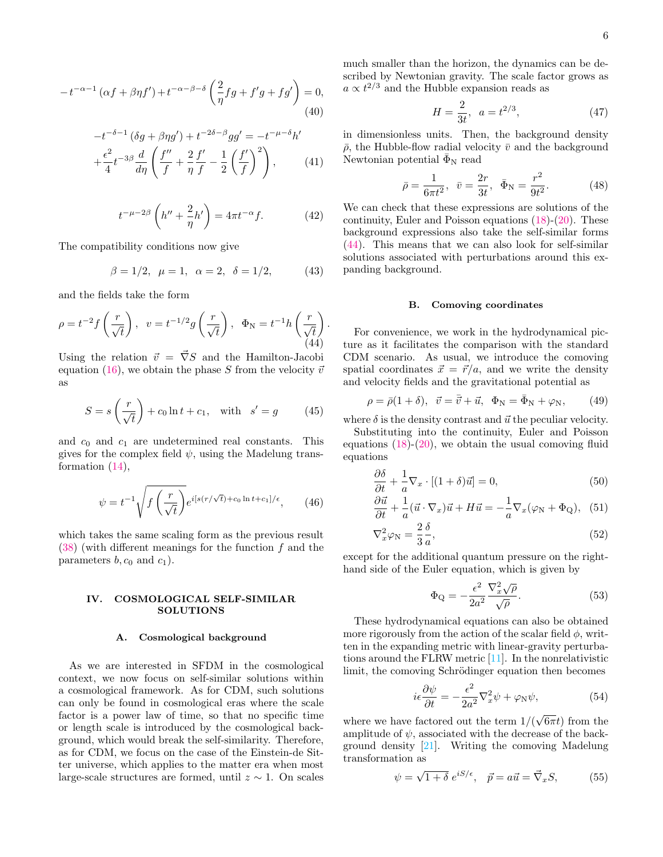$$
-t^{-\alpha-1} \left(\alpha f + \beta \eta f'\right) + t^{-\alpha-\beta-\delta} \left(\frac{2}{\eta} f g + f' g + f g'\right) = 0,
$$
\n(40)

$$
-t^{-\delta-1} (\delta g + \beta \eta g') + t^{-2\delta - \beta} g g' = -t^{-\mu - \delta} h'
$$
  
+  $\frac{\epsilon^2}{4} t^{-3\beta} \frac{d}{d\eta} \left( \frac{f''}{f} + \frac{2}{\eta} \frac{f'}{f} - \frac{1}{2} \left( \frac{f'}{f} \right)^2 \right),$  (41)

$$
t^{-\mu-2\beta} \left( h'' + \frac{2}{\eta}h' \right) = 4\pi t^{-\alpha} f. \tag{42}
$$

The compatibility conditions now give

$$
\beta = 1/2, \ \mu = 1, \ \alpha = 2, \ \delta = 1/2, \tag{43}
$$

.

 $\nabla$ 

and the fields take the form

<span id="page-5-1"></span>
$$
\rho = t^{-2} f\left(\frac{r}{\sqrt{t}}\right), \quad v = t^{-1/2} g\left(\frac{r}{\sqrt{t}}\right), \quad \Phi_N = t^{-1} h\left(\frac{r}{\sqrt{t}}\right)
$$
\n(44)

Using the relation  $\vec{v} = \vec{\nabla}S$  and the Hamilton-Jacobi equation [\(16\)](#page-2-6), we obtain the phase S from the velocity  $\vec{v}$ as

$$
S = s\left(\frac{r}{\sqrt{t}}\right) + c_0 \ln t + c_1, \quad \text{with} \quad s' = g \tag{45}
$$

and  $c_0$  and  $c_1$  are undetermined real constants. This gives for the complex field  $\psi$ , using the Madelung transformation [\(14\)](#page-2-4),

$$
\psi = t^{-1} \sqrt{f\left(\frac{r}{\sqrt{t}}\right)} e^{i[s(r/\sqrt{t}) + c_0 \ln t + c_1]/\epsilon}, \qquad (46)
$$

which takes the same scaling form as the previous result  $(38)$  (with different meanings for the function f and the parameters  $b, c_0$  and  $c_1$ ).

## <span id="page-5-0"></span>IV. COSMOLOGICAL SELF-SIMILAR SOLUTIONS

## A. Cosmological background

As we are interested in SFDM in the cosmological context, we now focus on self-similar solutions within a cosmological framework. As for CDM, such solutions can only be found in cosmological eras where the scale factor is a power law of time, so that no specific time or length scale is introduced by the cosmological background, which would break the self-similarity. Therefore, as for CDM, we focus on the case of the Einstein-de Sitter universe, which applies to the matter era when most large-scale structures are formed, until  $z \sim 1$ . On scales much smaller than the horizon, the dynamics can be described by Newtonian gravity. The scale factor grows as  $a \propto t^{2/3}$  and the Hubble expansion reads as

$$
H = \frac{2}{3t}, \ \ a = t^{2/3}, \tag{47}
$$

in dimensionless units. Then, the background density  $\bar{\rho}$ , the Hubble-flow radial velocity  $\bar{v}$  and the background Newtonian potential  $\bar{\Phi}_{N}$  read

$$
\bar{\rho} = \frac{1}{6\pi t^2}, \quad \bar{v} = \frac{2r}{3t}, \quad \bar{\Phi}_N = \frac{r^2}{9t^2}.
$$
 (48)

We can check that these expressions are solutions of the continuity, Euler and Poisson equations [\(18\)](#page-2-3)-[\(20\)](#page-2-7). These background expressions also take the self-similar forms [\(44\)](#page-5-1). This means that we can also look for self-similar solutions associated with perturbations around this expanding background.

## B. Comoving coordinates

For convenience, we work in the hydrodynamical picture as it facilitates the comparison with the standard CDM scenario. As usual, we introduce the comoving spatial coordinates  $\vec{x} = \vec{r}/a$ , and we write the density and velocity fields and the gravitational potential as

$$
\rho = \bar{\rho}(1+\delta), \quad \vec{v} = \bar{\vec{v}} + \vec{u}, \quad \Phi_N = \bar{\Phi}_N + \varphi_N, \tag{49}
$$

where  $\delta$  is the density contrast and  $\vec{u}$  the peculiar velocity.

Substituting into the continuity, Euler and Poisson equations  $(18)-(20)$  $(18)-(20)$  $(18)-(20)$ , we obtain the usual comoving fluid equations

<span id="page-5-2"></span>
$$
\frac{\partial \delta}{\partial t} + \frac{1}{a} \nabla_x \cdot [(1+\delta)\vec{u}] = 0,\tag{50}
$$

$$
\frac{\partial \vec{u}}{\partial t} + \frac{1}{a} (\vec{u} \cdot \nabla_x) \vec{u} + H \vec{u} = -\frac{1}{a} \nabla_x (\varphi_N + \Phi_Q), \quad (51)
$$

$$
{}_{x}^{2}\varphi_{\rm N} = \frac{2}{3}\frac{\delta}{a},\tag{52}
$$

except for the additional quantum pressure on the righthand side of the Euler equation, which is given by

<span id="page-5-3"></span>
$$
\Phi_{\mathbf{Q}} = -\frac{\epsilon^2}{2a^2} \frac{\nabla_x^2 \sqrt{\rho}}{\sqrt{\rho}}.
$$
\n(53)

These hydrodynamical equations can also be obtained more rigorously from the action of the scalar field  $\phi$ , written in the expanding metric with linear-gravity perturbations around the FLRW metric [\[11\]](#page-19-9). In the nonrelativistic limit, the comoving Schrödinger equation then becomes

<span id="page-5-4"></span>
$$
i\epsilon \frac{\partial \psi}{\partial t} = -\frac{\epsilon^2}{2a^2} \nabla_x^2 \psi + \varphi_N \psi,\tag{54}
$$

where we have factored out the term 1/(  $(6\pi t)$  from the amplitude of  $\psi$ , associated with the decrease of the background density [\[21\]](#page-20-1). Writing the comoving Madelung transformation as

$$
\psi = \sqrt{1+\delta} \; e^{iS/\epsilon}, \quad \vec{p} = a\vec{u} = \vec{\nabla}_x S,\tag{55}
$$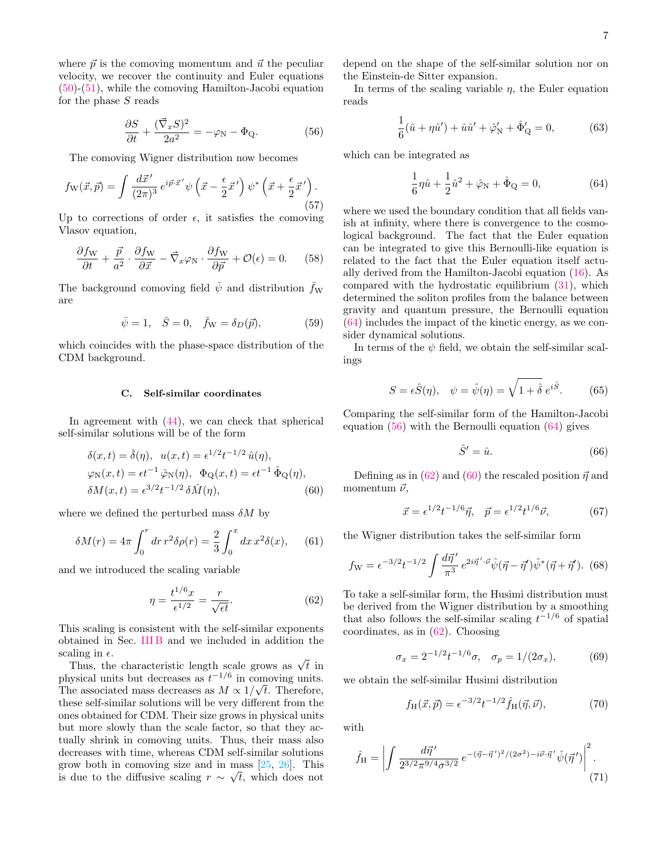where  $\vec{p}$  is the comoving momentum and  $\vec{u}$  the peculiar velocity, we recover the continuity and Euler equations [\(50\)](#page-5-2)-[\(51\)](#page-5-2), while the comoving Hamilton-Jacobi equation for the phase  $S$  reads

<span id="page-6-2"></span>
$$
\frac{\partial S}{\partial t} + \frac{(\vec{\nabla}_x S)^2}{2a^2} = -\varphi_N - \Phi_Q.
$$
 (56)

The comoving Wigner distribution now becomes

$$
f_{\mathcal{W}}(\vec{x}, \vec{p}) = \int \frac{d\vec{x}'}{(2\pi)^3} e^{i\vec{p}\cdot\vec{x}'} \psi\left(\vec{x} - \frac{\epsilon}{2}\vec{x}'\right) \psi^* \left(\vec{x} + \frac{\epsilon}{2}\vec{x}'\right). \tag{57}
$$

Up to corrections of order  $\epsilon$ , it satisfies the comoving Vlasov equation,

<span id="page-6-4"></span>
$$
\frac{\partial f_{\rm W}}{\partial t} + \frac{\vec{p}}{a^2} \cdot \frac{\partial f_{\rm W}}{\partial \vec{x}} - \vec{\nabla}_x \varphi_{\rm N} \cdot \frac{\partial f_{\rm W}}{\partial \vec{p}} + \mathcal{O}(\epsilon) = 0. \tag{58}
$$

The background comoving field  $\bar{\psi}$  and distribution  $\bar{f}_{W}$ are

$$
\bar{\psi} = 1, \quad \bar{S} = 0, \quad \bar{f}_{\mathcal{W}} = \delta_D(\vec{p}), \tag{59}
$$

which coincides with the phase-space distribution of the CDM background.

#### C. Self-similar coordinates

In agreement with [\(44\)](#page-5-1), we can check that spherical self-similar solutions will be of the form

<span id="page-6-3"></span>
$$
\delta(x,t) = \hat{\delta}(\eta), \quad u(x,t) = \epsilon^{1/2} t^{-1/2} \hat{u}(\eta),
$$
  
\n
$$
\varphi_N(x,t) = \epsilon t^{-1} \hat{\varphi}_N(\eta), \quad \Phi_Q(x,t) = \epsilon t^{-1} \hat{\Phi}_Q(\eta),
$$
  
\n
$$
\delta M(x,t) = \epsilon^{3/2} t^{-1/2} \delta \hat{M}(\eta),
$$
\n(60)

where we defined the perturbed mass  $\delta M$  by

$$
\delta M(r) = 4\pi \int_0^r dr \, r^2 \delta \rho(r) = \frac{2}{3} \int_0^x dx \, x^2 \delta(x), \quad (61)
$$

and we introduced the scaling variable

<span id="page-6-0"></span>
$$
\eta = \frac{t^{1/6}x}{\epsilon^{1/2}} = \frac{r}{\sqrt{\epsilon t}}.\tag{62}
$$

This scaling is consistent with the self-similar exponents obtained in Sec. [III B](#page-4-4) and we included in addition the scaling in  $\epsilon$ .

aling in  $\epsilon$ .<br>Thus, the characteristic length scale grows as  $\sqrt{t}$  in physical units but decreases as  $t^{-1/6}$  in comoving units. The associated mass decreases as  $M \propto 1/\sqrt{t}$ . Therefore, these self-similar solutions will be very different from the ones obtained for CDM. Their size grows in physical units but more slowly than the scale factor, so that they actually shrink in comoving units. Thus, their mass also decreases with time, whereas CDM self-similar solutions grow both in comoving size and in mass  $[25, 26]$  $[25, 26]$  $[25, 26]$ . This is due to the diffusive scaling  $r \sim \sqrt{t}$ , which does not

depend on the shape of the self-similar solution nor on the Einstein-de Sitter expansion.

In terms of the scaling variable  $\eta$ , the Euler equation reads

<span id="page-6-5"></span>
$$
\frac{1}{6}(\hat{u} + \eta \hat{u}') + \hat{u}\hat{u}' + \hat{\varphi}'_{N} + \hat{\Phi}'_{Q} = 0, \qquad (63)
$$

which can be integrated as

<span id="page-6-1"></span>
$$
\frac{1}{6}\eta \hat{u} + \frac{1}{2}\hat{u}^2 + \hat{\varphi}_N + \hat{\Phi}_Q = 0,
$$
\n(64)

where we used the boundary condition that all fields vanish at infinity, where there is convergence to the cosmological background. The fact that the Euler equation can be integrated to give this Bernoulli-like equation is related to the fact that the Euler equation itself actually derived from the Hamilton-Jacobi equation [\(16\)](#page-2-6). As compared with the hydrostatic equilibrium [\(31\)](#page-4-5), which determined the soliton profiles from the balance between gravity and quantum pressure, the Bernoulli equation [\(64\)](#page-6-1) includes the impact of the kinetic energy, as we consider dynamical solutions.

In terms of the  $\psi$  field, we obtain the self-similar scalings

$$
S = \epsilon \hat{S}(\eta), \quad \psi = \hat{\psi}(\eta) = \sqrt{1 + \hat{\delta}} \, e^{i\hat{S}}.
$$
 (65)

Comparing the self-similar form of the Hamilton-Jacobi equation [\(56\)](#page-6-2) with the Bernoulli equation [\(64\)](#page-6-1) gives

$$
\hat{S}' = \hat{u}.\tag{66}
$$

Defining as in [\(62\)](#page-6-0) and [\(60\)](#page-6-3) the rescaled position  $\vec{\eta}$  and momentum  $\vec{\nu}$ ,

$$
\vec{x} = \epsilon^{1/2} t^{-1/6} \vec{\eta}, \quad \vec{p} = \epsilon^{1/2} t^{1/6} \vec{\nu}, \tag{67}
$$

the Wigner distribution takes the self-similar form

$$
f_{\rm W} = \epsilon^{-3/2} t^{-1/2} \int \frac{d\vec{\eta}'}{\pi^3} e^{2i\vec{\eta}' \cdot \vec{\nu}} \hat{\psi}(\vec{\eta} - \vec{\eta}') \hat{\psi}^*(\vec{\eta} + \vec{\eta}'). \tag{68}
$$

To take a self-similar form, the Husimi distribution must be derived from the Wigner distribution by a smoothing that also follows the self-similar scaling  $t^{-1/6}$  of spatial coordinates, as in [\(62\)](#page-6-0). Choosing

<span id="page-6-6"></span>
$$
\sigma_x = 2^{-1/2} t^{-1/6} \sigma, \quad \sigma_p = 1/(2\sigma_x), \tag{69}
$$

we obtain the self-similar Husimi distribution

$$
f_{\rm H}(\vec{x}, \vec{p}) = \epsilon^{-3/2} t^{-1/2} \hat{f}_{\rm H}(\vec{\eta}, \vec{\nu}), \tag{70}
$$

with

$$
\hat{f}_{\rm H} = \left| \int \frac{d\vec{\eta}'}{2^{3/2} \pi^{9/4} \sigma^{3/2}} e^{-(\vec{\eta} - \vec{\eta}')^2/(2\sigma^2) - i\vec{\nu} \cdot \vec{\eta}'} \hat{\psi}(\vec{\eta}') \right|^2.
$$
\n(71)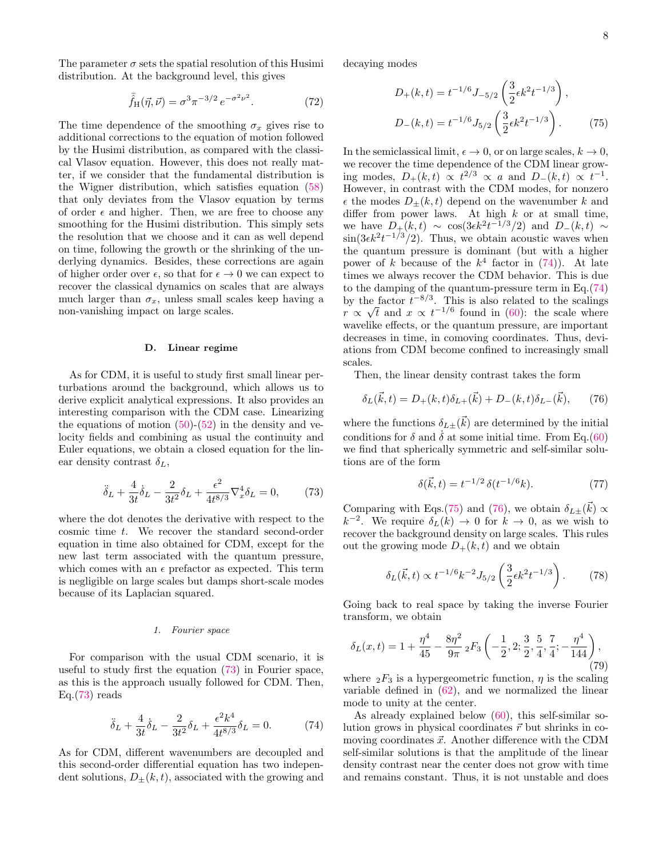The parameter  $\sigma$  sets the spatial resolution of this Husimi distribution. At the background level, this gives

<span id="page-7-6"></span>
$$
\bar{\hat{f}}_{\rm H}(\vec{\eta}, \vec{\nu}) = \sigma^3 \pi^{-3/2} e^{-\sigma^2 \nu^2}.
$$
 (72)

The time dependence of the smoothing  $\sigma_x$  gives rise to additional corrections to the equation of motion followed by the Husimi distribution, as compared with the classical Vlasov equation. However, this does not really matter, if we consider that the fundamental distribution is the Wigner distribution, which satisfies equation [\(58\)](#page-6-4) that only deviates from the Vlasov equation by terms of order  $\epsilon$  and higher. Then, we are free to choose any smoothing for the Husimi distribution. This simply sets the resolution that we choose and it can as well depend on time, following the growth or the shrinking of the underlying dynamics. Besides, these corrections are again of higher order over  $\epsilon$ , so that for  $\epsilon \to 0$  we can expect to recover the classical dynamics on scales that are always much larger than  $\sigma_x$ , unless small scales keep having a non-vanishing impact on large scales.

### <span id="page-7-5"></span>D. Linear regime

As for CDM, it is useful to study first small linear perturbations around the background, which allows us to derive explicit analytical expressions. It also provides an interesting comparison with the CDM case. Linearizing the equations of motion  $(50)-(52)$  $(50)-(52)$  $(50)-(52)$  in the density and velocity fields and combining as usual the continuity and Euler equations, we obtain a closed equation for the linear density contrast  $\delta_L$ ,

<span id="page-7-0"></span>
$$
\ddot{\delta}_L + \frac{4}{3t} \dot{\delta}_L - \frac{2}{3t^2} \delta_L + \frac{\epsilon^2}{4t^{8/3}} \nabla_x^4 \delta_L = 0, \tag{73}
$$

where the dot denotes the derivative with respect to the cosmic time t. We recover the standard second-order equation in time also obtained for CDM, except for the new last term associated with the quantum pressure, which comes with an  $\epsilon$  prefactor as expected. This term is negligible on large scales but damps short-scale modes because of its Laplacian squared.

## 1. Fourier space

For comparison with the usual CDM scenario, it is useful to study first the equation [\(73\)](#page-7-0) in Fourier space, as this is the approach usually followed for CDM. Then,  $Eq.(73) reads$  $Eq.(73) reads$  $Eq.(73) reads$ 

<span id="page-7-1"></span>
$$
\ddot{\delta}_L + \frac{4}{3t} \dot{\delta}_L - \frac{2}{3t^2} \delta_L + \frac{\epsilon^2 k^4}{4t^{8/3}} \delta_L = 0.
$$
 (74)

As for CDM, different wavenumbers are decoupled and this second-order differential equation has two independent solutions,  $D_{\pm}(k,t)$ , associated with the growing and decaying modes

<span id="page-7-2"></span>
$$
D_{+}(k,t) = t^{-1/6} J_{-5/2} \left( \frac{3}{2} \epsilon k^2 t^{-1/3} \right),
$$
  

$$
D_{-}(k,t) = t^{-1/6} J_{5/2} \left( \frac{3}{2} \epsilon k^2 t^{-1/3} \right).
$$
 (75)

In the semiclassical limit,  $\epsilon \to 0$ , or on large scales,  $k \to 0$ , we recover the time dependence of the CDM linear growing modes,  $D_+(k,t) \propto t^{2/3} \propto a$  and  $D_-(k,t) \propto t^{-1}$ . However, in contrast with the CDM modes, for nonzero  $\epsilon$  the modes  $D_{\pm}(k, t)$  depend on the wavenumber k and differ from power laws. At high  $k$  or at small time, we have  $D_+(k,t) \sim \cos(3\epsilon k^2 t^{-1/3}/2)$  and  $D_-(k,t) \sim$  $\sin(3\epsilon k^2 t^{-1/3})$ . Thus, we obtain acoustic waves when the quantum pressure is dominant (but with a higher power of k because of the  $k^4$  factor in [\(74\)](#page-7-1)). At late times we always recover the CDM behavior. This is due to the damping of the quantum-pressure term in Eq.[\(74\)](#page-7-1) by the factor  $t^{-8/3}$ . This is also related to the scalings r ∝ √  $\bar{t}$  and  $x \propto t^{-1/6}$  found in [\(60\)](#page-6-3): the scale where wavelike effects, or the quantum pressure, are important decreases in time, in comoving coordinates. Thus, deviations from CDM become confined to increasingly small scales.

Then, the linear density contrast takes the form

<span id="page-7-3"></span>
$$
\delta_L(\vec{k},t) = D_+(k,t)\delta_{L+}(\vec{k}) + D_-(k,t)\delta_{L-}(\vec{k}), \qquad (76)
$$

where the functions  $\delta_{L\pm}(\vec{k})$  are determined by the initial conditions for  $\delta$  and  $\dot{\delta}$  at some initial time. From Eq.[\(60\)](#page-6-3) we find that spherically symmetric and self-similar solutions are of the form

$$
\delta(\vec{k},t) = t^{-1/2} \,\delta(t^{-1/6}k). \tag{77}
$$

Comparing with Eqs.[\(75\)](#page-7-2) and [\(76\)](#page-7-3), we obtain  $\delta_{L\pm}(\vec{k}) \propto$  $k^{-2}$ . We require  $\delta_L(k) \to 0$  for  $k \to 0$ , as we wish to recover the background density on large scales. This rules out the growing mode  $D_{+}(k, t)$  and we obtain

$$
\delta_L(\vec{k},t) \propto t^{-1/6} k^{-2} J_{5/2} \left( \frac{3}{2} \epsilon k^2 t^{-1/3} \right). \tag{78}
$$

Going back to real space by taking the inverse Fourier transform, we obtain

<span id="page-7-4"></span>
$$
\delta_L(x,t) = 1 + \frac{\eta^4}{45} - \frac{8\eta^2}{9\pi} \, _2F_3\left(-\frac{1}{2}, 2; \frac{3}{2}, \frac{5}{4}, \frac{7}{4}; -\frac{\eta^4}{144}\right),\tag{79}
$$

where  $_2F_3$  is a hypergeometric function,  $\eta$  is the scaling variable defined in [\(62\)](#page-6-0), and we normalized the linear mode to unity at the center.

As already explained below [\(60\)](#page-6-3), this self-similar solution grows in physical coordinates  $\vec{r}$  but shrinks in comoving coordinates  $\vec{x}$ . Another difference with the CDM self-similar solutions is that the amplitude of the linear density contrast near the center does not grow with time and remains constant. Thus, it is not unstable and does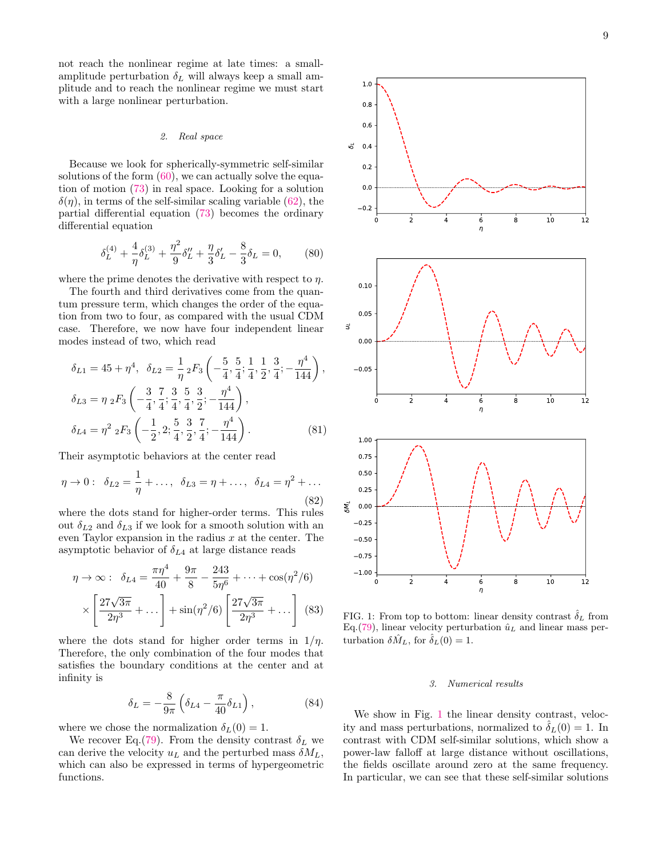not reach the nonlinear regime at late times: a smallamplitude perturbation  $\delta_L$  will always keep a small am-

#### 2. Real space

plitude and to reach the nonlinear regime we must start

with a large nonlinear perturbation.

Because we look for spherically-symmetric self-similar solutions of the form  $(60)$ , we can actually solve the equation of motion [\(73\)](#page-7-0) in real space. Looking for a solution  $\delta(\eta)$ , in terms of the self-similar scaling variable [\(62\)](#page-6-0), the partial differential equation [\(73\)](#page-7-0) becomes the ordinary differential equation

<span id="page-8-1"></span>
$$
\delta_L^{(4)} + \frac{4}{\eta} \delta_L^{(3)} + \frac{\eta^2}{9} \delta_L'' + \frac{\eta}{3} \delta_L' - \frac{8}{3} \delta_L = 0, \quad (80)
$$

where the prime denotes the derivative with respect to  $\eta$ .

The fourth and third derivatives come from the quantum pressure term, which changes the order of the equation from two to four, as compared with the usual CDM case. Therefore, we now have four independent linear modes instead of two, which read

$$
\delta_{L1} = 45 + \eta^4, \quad \delta_{L2} = \frac{1}{\eta} {}_2F_3 \left( -\frac{5}{4}, \frac{5}{4}; \frac{1}{4}, \frac{1}{2}, \frac{3}{4}; -\frac{\eta^4}{144} \right),
$$
  
\n
$$
\delta_{L3} = \eta {}_2F_3 \left( -\frac{3}{4}, \frac{7}{4}; \frac{3}{4}, \frac{5}{4}, \frac{3}{2}; -\frac{\eta^4}{144} \right),
$$
  
\n
$$
\delta_{L4} = \eta^2 {}_2F_3 \left( -\frac{1}{2}, 2; \frac{5}{4}, \frac{3}{2}, \frac{7}{4}; -\frac{\eta^4}{144} \right).
$$
 (81)

Their asymptotic behaviors at the center read

$$
\eta \to 0: \ \ \delta_{L2} = \frac{1}{\eta} + \dots, \ \ \delta_{L3} = \eta + \dots, \ \ \delta_{L4} = \eta^2 + \dots
$$
\n(82)

where the dots stand for higher-order terms. This rules out  $\delta_{L2}$  and  $\delta_{L3}$  if we look for a smooth solution with an even Taylor expansion in the radius  $x$  at the center. The asymptotic behavior of  $\delta_{L4}$  at large distance reads

<span id="page-8-4"></span>
$$
\eta \to \infty: \quad \delta_{L4} = \frac{\pi \eta^4}{40} + \frac{9\pi}{8} - \frac{243}{5\eta^6} + \dots + \cos(\eta^2/6)
$$

$$
\times \left[ \frac{27\sqrt{3\pi}}{2\eta^3} + \dots \right] + \sin(\eta^2/6) \left[ \frac{27\sqrt{3\pi}}{2\eta^3} + \dots \right] \tag{83}
$$

where the dots stand for higher order terms in  $1/\eta$ . Therefore, the only combination of the four modes that satisfies the boundary conditions at the center and at infinity is

<span id="page-8-2"></span>
$$
\delta_L = -\frac{8}{9\pi} \left( \delta_{L4} - \frac{\pi}{40} \delta_{L1} \right),\tag{84}
$$

where we chose the normalization  $\delta_L(0) = 1$ .

We recover Eq.[\(79\)](#page-7-4). From the density contrast  $\delta_L$  we can derive the velocity  $u<sub>L</sub>$  and the perturbed mass  $\delta M<sub>L</sub>$ , which can also be expressed in terms of hypergeometric functions.



<span id="page-8-0"></span>FIG. 1: From top to bottom: linear density contrast  $\delta_L$  from Eq.  $(79)$ , linear velocity perturbation  $\hat{u}_L$  and linear mass perturbation  $\delta \hat{M}_L$ , for  $\hat{\delta}_L(0) = 1$ .

## <span id="page-8-3"></span>3. Numerical results

We show in Fig. [1](#page-8-0) the linear density contrast, velocity and mass perturbations, normalized to  $\delta_L(0) = 1$ . In contrast with CDM self-similar solutions, which show a power-law falloff at large distance without oscillations, the fields oscillate around zero at the same frequency. In particular, we can see that these self-similar solutions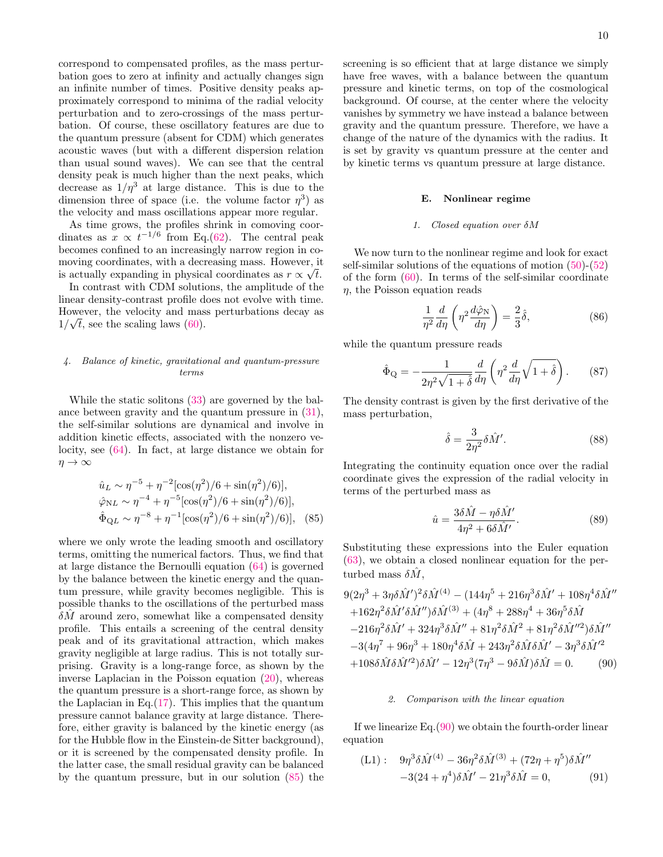correspond to compensated profiles, as the mass perturbation goes to zero at infinity and actually changes sign an infinite number of times. Positive density peaks approximately correspond to minima of the radial velocity perturbation and to zero-crossings of the mass perturbation. Of course, these oscillatory features are due to the quantum pressure (absent for CDM) which generates acoustic waves (but with a different dispersion relation than usual sound waves). We can see that the central density peak is much higher than the next peaks, which decrease as  $1/\eta^3$  at large distance. This is due to the dimension three of space (i.e. the volume factor  $\eta^3$ ) as the velocity and mass oscillations appear more regular.

As time grows, the profiles shrink in comoving coordinates as  $x \propto t^{-1/6}$  from Eq.[\(62\)](#page-6-0). The central peak becomes confined to an increasingly narrow region in comoving coordinates, with a decreasing mass. However, it is actually expanding in physical coordinates as  $r \propto \sqrt{t}$ .

In contrast with CDM solutions, the amplitude of the linear density-contrast profile does not evolve with time. However, the velocity and mass perturbations decay as  $1/\sqrt{t}$ , see the scaling laws [\(60\)](#page-6-3).

## 4. Balance of kinetic, gravitational and quantum-pressure terms

While the static solitons [\(33\)](#page-4-6) are governed by the balance between gravity and the quantum pressure in [\(31\)](#page-4-5), the self-similar solutions are dynamical and involve in addition kinetic effects, associated with the nonzero velocity, see [\(64\)](#page-6-1). In fact, at large distance we obtain for  $\eta \to \infty$ 

<span id="page-9-0"></span>
$$
\hat{u}_L \sim \eta^{-5} + \eta^{-2} [\cos(\eta^2)/6 + \sin(\eta^2)/6)],
$$
  

$$
\hat{\varphi}_{NL} \sim \eta^{-4} + \eta^{-5} [\cos(\eta^2)/6 + \sin(\eta^2)/6)],
$$
  

$$
\hat{\Phi}_{QL} \sim \eta^{-8} + \eta^{-1} [\cos(\eta^2)/6 + \sin(\eta^2)/6)],
$$
 (85)

where we only wrote the leading smooth and oscillatory terms, omitting the numerical factors. Thus, we find that at large distance the Bernoulli equation [\(64\)](#page-6-1) is governed by the balance between the kinetic energy and the quantum pressure, while gravity becomes negligible. This is possible thanks to the oscillations of the perturbed mass  $\delta M$  around zero, somewhat like a compensated density profile. This entails a screening of the central density peak and of its gravitational attraction, which makes gravity negligible at large radius. This is not totally surprising. Gravity is a long-range force, as shown by the inverse Laplacian in the Poisson equation [\(20\)](#page-2-7), whereas the quantum pressure is a short-range force, as shown by the Laplacian in Eq. $(17)$ . This implies that the quantum pressure cannot balance gravity at large distance. Therefore, either gravity is balanced by the kinetic energy (as for the Hubble flow in the Einstein-de Sitter background), or it is screened by the compensated density profile. In the latter case, the small residual gravity can be balanced by the quantum pressure, but in our solution [\(85\)](#page-9-0) the

screening is so efficient that at large distance we simply have free waves, with a balance between the quantum pressure and kinetic terms, on top of the cosmological background. Of course, at the center where the velocity vanishes by symmetry we have instead a balance between gravity and the quantum pressure. Therefore, we have a change of the nature of the dynamics with the radius. It is set by gravity vs quantum pressure at the center and by kinetic terms vs quantum pressure at large distance.

#### E. Nonlinear regime

#### 1. Closed equation over δM

We now turn to the nonlinear regime and look for exact self-similar solutions of the equations of motion [\(50\)](#page-5-2)-[\(52\)](#page-5-2) of the form [\(60\)](#page-6-3). In terms of the self-similar coordinate  $\eta$ , the Poisson equation reads

$$
\frac{1}{\eta^2} \frac{d}{d\eta} \left( \eta^2 \frac{d\hat{\varphi}_N}{d\eta} \right) = \frac{2}{3} \hat{\delta},\tag{86}
$$

while the quantum pressure reads

$$
\hat{\Phi}_{\mathcal{Q}} = -\frac{1}{2\eta^2\sqrt{1+\hat{\delta}}} \frac{d}{d\eta} \left(\eta^2 \frac{d}{d\eta} \sqrt{1+\hat{\delta}}\right). \tag{87}
$$

The density contrast is given by the first derivative of the mass perturbation,

<span id="page-9-2"></span>
$$
\hat{\delta} = \frac{3}{2\eta^2} \delta \hat{M}'.\tag{88}
$$

Integrating the continuity equation once over the radial coordinate gives the expression of the radial velocity in terms of the perturbed mass as

$$
\hat{u} = \frac{3\delta\hat{M} - \eta\delta\hat{M}'}{4\eta^2 + 6\delta\hat{M}'}.\tag{89}
$$

Substituting these expressions into the Euler equation [\(63\)](#page-6-5), we obtain a closed nonlinear equation for the perturbed mass  $\delta M$ .

<span id="page-9-1"></span>
$$
9(2\eta^3 + 3\eta\delta\hat{M}')^2\delta\hat{M}^{(4)} - (144\eta^5 + 216\eta^3\delta\hat{M}' + 108\eta^4\delta\hat{M}''
$$
  
+162\eta^2\delta\hat{M}'\delta\hat{M}'')\delta\hat{M}^{(3)} + (4\eta^8 + 288\eta^4 + 36\eta^5\delta\hat{M} - 216\eta^2\delta\hat{M}' + 324\eta^3\delta\hat{M}'' + 81\eta^2\delta\hat{M}^2 + 81\eta^2\delta\hat{M}''^2)\delta\hat{M}''  
-3(4\eta^7 + 96\eta^3 + 180\eta^4\delta\hat{M} + 243\eta^2\delta\hat{M}\delta\hat{M}' - 3\eta^3\delta\hat{M}'^2  
+108\delta\hat{M}\delta\hat{M}'^2)\delta\hat{M}' - 12\eta^3(7\eta^3 - 9\delta\hat{M})\delta\hat{M} = 0. (90)

## 2. Comparison with the linear equation

If we linearize Eq.[\(90\)](#page-9-1) we obtain the fourth-order linear equation

<span id="page-9-3"></span>(L1): 
$$
9\eta^3 \delta \hat{M}^{(4)} - 36\eta^2 \delta \hat{M}^{(3)} + (72\eta + \eta^5) \delta \hat{M}''
$$
  
-3(24 +  $\eta^4$ ) $\delta \hat{M}' - 21\eta^3 \delta \hat{M} = 0,$  (91)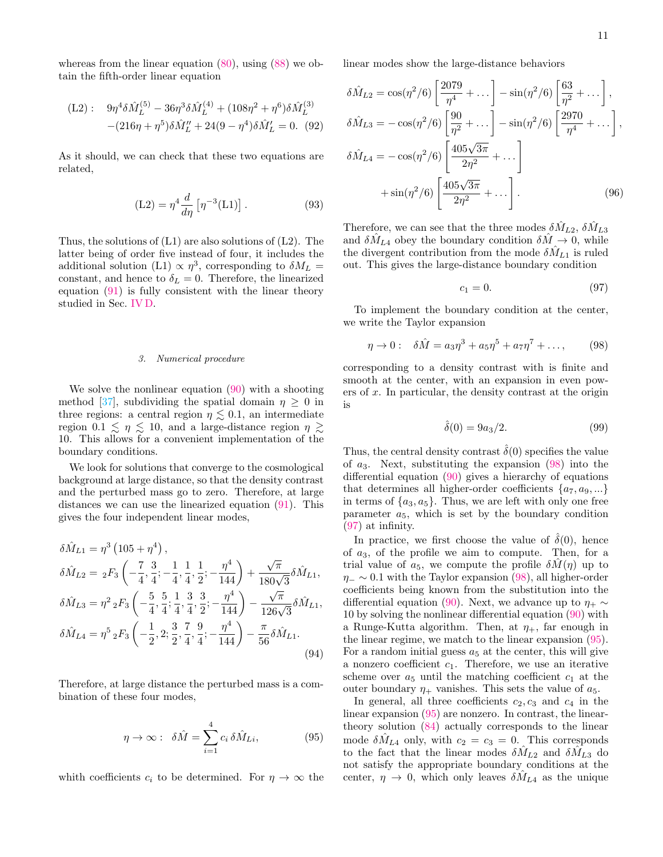whereas from the linear equation  $(80)$ , using  $(88)$  we obtain the fifth-order linear equation

$$
\begin{aligned} \text{(L2)}: \quad & 9\eta^4 \delta \hat{M}_L^{(5)} - 36\eta^3 \delta \hat{M}_L^{(4)} + (108\eta^2 + \eta^6) \delta \hat{M}_L^{(3)} \\ &- (216\eta + \eta^5) \delta \hat{M}_L'' + 24(9 - \eta^4) \delta \hat{M}_L' = 0. \end{aligned} \tag{92}
$$

As it should, we can check that these two equations are related,

$$
(L2) = \eta^4 \frac{d}{d\eta} \left[ \eta^{-3}(L1) \right]. \tag{93}
$$

Thus, the solutions of (L1) are also solutions of (L2). The latter being of order five instead of four, it includes the additional solution (L1)  $\propto \eta^3$ , corresponding to  $\delta M_L =$ constant, and hence to  $\delta_L = 0$ . Therefore, the linearized equation [\(91\)](#page-9-3) is fully consistent with the linear theory studied in Sec. [IV D.](#page-7-5)

#### 3. Numerical procedure

We solve the nonlinear equation [\(90\)](#page-9-1) with a shooting method [\[37\]](#page-20-16), subdividing the spatial domain  $\eta \geq 0$  in three regions: a central region  $\eta \lesssim 0.1$ , an intermediate region  $0.1 \le \eta \le 10$ , and a large-distance region  $\eta \ge$ 10. This allows for a convenient implementation of the boundary conditions.

We look for solutions that converge to the cosmological background at large distance, so that the density contrast and the perturbed mass go to zero. Therefore, at large distances we can use the linearized equation [\(91\)](#page-9-3). This gives the four independent linear modes,

$$
\delta \hat{M}_{L1} = \eta^3 (105 + \eta^4),
$$
  
\n
$$
\delta \hat{M}_{L2} = {}_2F_3 \left( -\frac{7}{4}, \frac{3}{4}; -\frac{1}{4}, \frac{1}{4}, \frac{1}{2}; -\frac{\eta^4}{144} \right) + \frac{\sqrt{\pi}}{180\sqrt{3}} \delta \hat{M}_{L1},
$$
  
\n
$$
\delta \hat{M}_{L3} = \eta^2 {}_2F_3 \left( -\frac{5}{4}, \frac{5}{4}; \frac{1}{4}, \frac{3}{4}, \frac{3}{2}; -\frac{\eta^4}{144} \right) - \frac{\sqrt{\pi}}{126\sqrt{3}} \delta \hat{M}_{L1},
$$
  
\n
$$
\delta \hat{M}_{L4} = \eta^5 {}_2F_3 \left( -\frac{1}{2}, 2; \frac{3}{2}, \frac{7}{4}, \frac{9}{4}; -\frac{\eta^4}{144} \right) - \frac{\pi}{56} \delta \hat{M}_{L1}.
$$
\n(94)

Therefore, at large distance the perturbed mass is a combination of these four modes,

<span id="page-10-2"></span>
$$
\eta \to \infty: \quad \delta \hat{M} = \sum_{i=1}^{4} c_i \, \delta \hat{M}_{Li}, \tag{95}
$$

whith coefficients  $c_i$  to be determined. For  $\eta \to \infty$  the

linear modes show the large-distance behaviors

$$
\delta \hat{M}_{L2} = \cos(\eta^2/6) \left[ \frac{2079}{\eta^4} + \dots \right] - \sin(\eta^2/6) \left[ \frac{63}{\eta^2} + \dots \right],
$$
  
\n
$$
\delta \hat{M}_{L3} = -\cos(\eta^2/6) \left[ \frac{90}{\eta^2} + \dots \right] - \sin(\eta^2/6) \left[ \frac{2970}{\eta^4} + \dots \right],
$$
  
\n
$$
\delta \hat{M}_{L4} = -\cos(\eta^2/6) \left[ \frac{405\sqrt{3\pi}}{2\eta^2} + \dots \right]
$$
  
\n
$$
+\sin(\eta^2/6) \left[ \frac{405\sqrt{3\pi}}{2\eta^2} + \dots \right].
$$
 (96)

Therefore, we can see that the three modes  $\delta M_{L2}$ ,  $\delta M_{L3}$ and  $\delta M_{L4}$  obey the boundary condition  $\delta M \rightarrow 0$ , while the divergent contribution from the mode  $\delta M_{L1}$  is ruled out. This gives the large-distance boundary condition

<span id="page-10-1"></span>
$$
c_1 = 0.\t\t(97)
$$

To implement the boundary condition at the center, we write the Taylor expansion

<span id="page-10-0"></span>
$$
\eta \to 0: \quad \delta \hat{M} = a_3 \eta^3 + a_5 \eta^5 + a_7 \eta^7 + \dots, \tag{98}
$$

corresponding to a density contrast with is finite and smooth at the center, with an expansion in even powers of  $x$ . In particular, the density contrast at the origin is

$$
\hat{\delta}(0) = 9a_3/2. \tag{99}
$$

Thus, the central density contrast  $\hat{\delta}(0)$  specifies the value of  $a_3$ . Next, substituting the expansion  $(98)$  into the differential equation [\(90\)](#page-9-1) gives a hierarchy of equations that determines all higher-order coefficients  $\{a_7, a_9, ...\}$ in terms of  $\{a_3, a_5\}$ . Thus, we are left with only one free parameter  $a_5$ , which is set by the boundary condition [\(97\)](#page-10-1) at infinity.

In practice, we first choose the value of  $\hat{\delta}(0)$ , hence of  $a_3$ , of the profile we aim to compute. Then, for a trial value of  $a_5$ , we compute the profile  $\delta M(\eta)$  up to  $\eta_-\sim 0.1$  with the Taylor expansion [\(98\)](#page-10-0), all higher-order coefficients being known from the substitution into the differential equation [\(90\)](#page-9-1). Next, we advance up to  $\eta_+ \sim$ 10 by solving the nonlinear differential equation [\(90\)](#page-9-1) with a Runge-Kutta algorithm. Then, at  $\eta_+$ , far enough in the linear regime, we match to the linear expansion [\(95\)](#page-10-2). For a random initial guess  $a_5$  at the center, this will give a nonzero coefficient  $c_1$ . Therefore, we use an iterative scheme over  $a_5$  until the matching coefficient  $c_1$  at the outer boundary  $\eta_+$  vanishes. This sets the value of  $a_5$ .

In general, all three coefficients  $c_2, c_3$  and  $c_4$  in the linear expansion [\(95\)](#page-10-2) are nonzero. In contrast, the lineartheory solution [\(84\)](#page-8-2) actually corresponds to the linear mode  $\delta M_{L4}$  only, with  $c_2 = c_3 = 0$ . This corresponds to the fact that the linear modes  $\delta M_{L2}$  and  $\delta M_{L3}$  do not satisfy the appropriate boundary conditions at the center,  $\eta \rightarrow 0$ , which only leaves  $\delta M_{L4}$  as the unique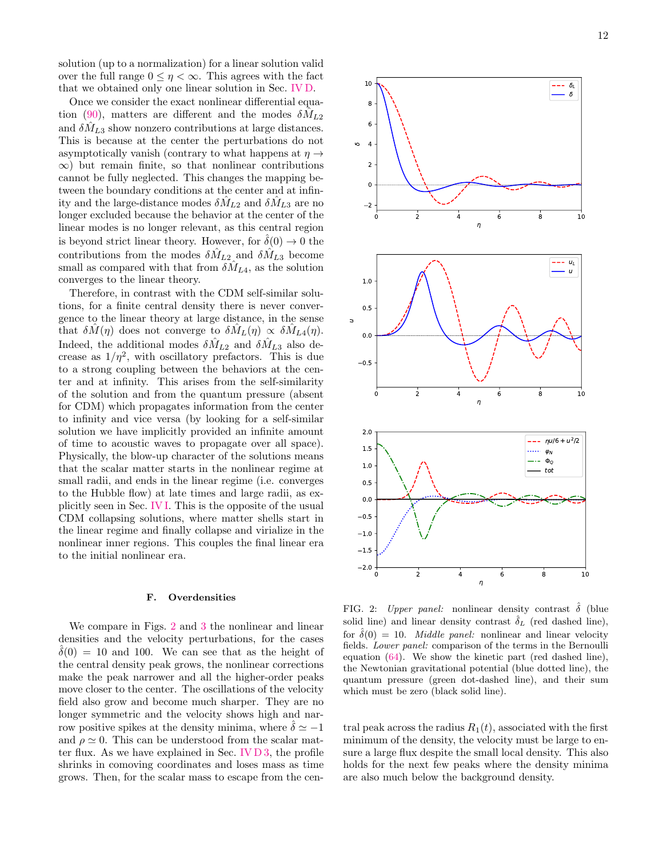solution (up to a normalization) for a linear solution valid over the full range  $0 \leq \eta < \infty$ . This agrees with the fact that we obtained only one linear solution in Sec. [IV D.](#page-7-5)

Once we consider the exact nonlinear differential equa-tion [\(90\)](#page-9-1), matters are different and the modes  $\delta M_{L2}$ and  $\delta M_{L3}$  show nonzero contributions at large distances. This is because at the center the perturbations do not asymptotically vanish (contrary to what happens at  $\eta \rightarrow$  $\infty$ ) but remain finite, so that nonlinear contributions cannot be fully neglected. This changes the mapping between the boundary conditions at the center and at infinity and the large-distance modes  $\delta M_{L2}$  and  $\delta M_{L3}$  are no longer excluded because the behavior at the center of the linear modes is no longer relevant, as this central region is beyond strict linear theory. However, for  $\hat{\delta}(0) \rightarrow 0$  the contributions from the modes  $\delta M_{L2}$  and  $\delta M_{L3}$  become small as compared with that from  $\delta \hat{M}_{L4}$ , as the solution converges to the linear theory.

Therefore, in contrast with the CDM self-similar solutions, for a finite central density there is never convergence to the linear theory at large distance, in the sense that  $\delta M(\eta)$  does not converge to  $\delta M_L(\eta) \propto \delta M_{L4}(\eta)$ . Indeed, the additional modes  $\delta \hat{M}_{L2}$  and  $\delta \hat{M}_{L3}$  also decrease as  $1/\eta^2$ , with oscillatory prefactors. This is due to a strong coupling between the behaviors at the center and at infinity. This arises from the self-similarity of the solution and from the quantum pressure (absent for CDM) which propagates information from the center to infinity and vice versa (by looking for a self-similar solution we have implicitly provided an infinite amount of time to acoustic waves to propagate over all space). Physically, the blow-up character of the solutions means that the scalar matter starts in the nonlinear regime at small radii, and ends in the linear regime (i.e. converges to the Hubble flow) at late times and large radii, as explicitly seen in Sec. [IV I.](#page-14-0) This is the opposite of the usual CDM collapsing solutions, where matter shells start in the linear regime and finally collapse and virialize in the nonlinear inner regions. This couples the final linear era to the initial nonlinear era.

## F. Overdensities

We compare in Figs. [2](#page-11-0) and [3](#page-12-0) the nonlinear and linear densities and the velocity perturbations, for the cases  $\delta(0) = 10$  and 100. We can see that as the height of the central density peak grows, the nonlinear corrections make the peak narrower and all the higher-order peaks move closer to the center. The oscillations of the velocity field also grow and become much sharper. They are no longer symmetric and the velocity shows high and narrow positive spikes at the density minima, where  $\hat{\delta} \simeq -1$ and  $\rho \simeq 0$ . This can be understood from the scalar matter flux. As we have explained in Sec. [IV D 3,](#page-8-3) the profile shrinks in comoving coordinates and loses mass as time grows. Then, for the scalar mass to escape from the cen-



<span id="page-11-0"></span>FIG. 2: Upper panel: nonlinear density contrast  $\hat{\delta}$  (blue solid line) and linear density contrast  $\hat{\delta}_L$  (red dashed line), for  $\hat{\delta}(0) = 10$ . *Middle panel:* nonlinear and linear velocity fields. Lower panel: comparison of the terms in the Bernoulli equation [\(64\)](#page-6-1). We show the kinetic part (red dashed line), the Newtonian gravitational potential (blue dotted line), the quantum pressure (green dot-dashed line), and their sum which must be zero (black solid line).

tral peak across the radius  $R_1(t)$ , associated with the first minimum of the density, the velocity must be large to ensure a large flux despite the small local density. This also holds for the next few peaks where the density minima are also much below the background density.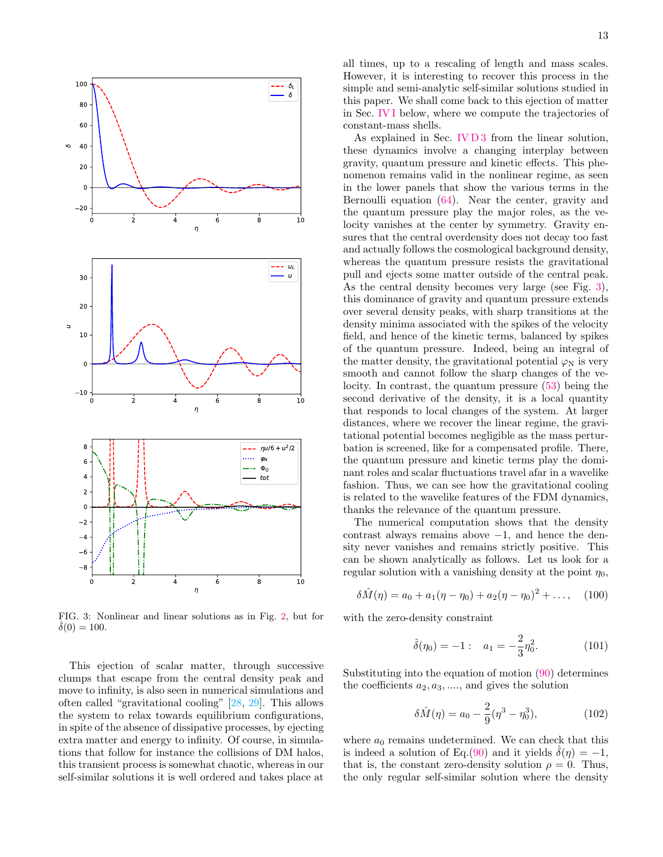

<span id="page-12-0"></span>FIG. 3: Nonlinear and linear solutions as in Fig. [2,](#page-11-0) but for  $\delta(0) = 100.$ 

This ejection of scalar matter, through successive clumps that escape from the central density peak and move to infinity, is also seen in numerical simulations and often called "gravitational cooling" [\[28,](#page-20-5) [29\]](#page-20-6). This allows the system to relax towards equilibrium configurations, in spite of the absence of dissipative processes, by ejecting extra matter and energy to infinity. Of course, in simulations that follow for instance the collisions of DM halos, this transient process is somewhat chaotic, whereas in our self-similar solutions it is well ordered and takes place at

all times, up to a rescaling of length and mass scales. However, it is interesting to recover this process in the simple and semi-analytic self-similar solutions studied in this paper. We shall come back to this ejection of matter in Sec. [IV I](#page-14-0) below, where we compute the trajectories of constant-mass shells.

As explained in Sec. [IV D 3](#page-8-3) from the linear solution, these dynamics involve a changing interplay between gravity, quantum pressure and kinetic effects. This phenomenon remains valid in the nonlinear regime, as seen in the lower panels that show the various terms in the Bernoulli equation [\(64\)](#page-6-1). Near the center, gravity and the quantum pressure play the major roles, as the velocity vanishes at the center by symmetry. Gravity ensures that the central overdensity does not decay too fast and actually follows the cosmological background density, whereas the quantum pressure resists the gravitational pull and ejects some matter outside of the central peak. As the central density becomes very large (see Fig. [3\)](#page-12-0), this dominance of gravity and quantum pressure extends over several density peaks, with sharp transitions at the density minima associated with the spikes of the velocity field, and hence of the kinetic terms, balanced by spikes of the quantum pressure. Indeed, being an integral of the matter density, the gravitational potential  $\varphi_N$  is very smooth and cannot follow the sharp changes of the velocity. In contrast, the quantum pressure [\(53\)](#page-5-3) being the second derivative of the density, it is a local quantity that responds to local changes of the system. At larger distances, where we recover the linear regime, the gravitational potential becomes negligible as the mass perturbation is screened, like for a compensated profile. There, the quantum pressure and kinetic terms play the dominant roles and scalar fluctuations travel afar in a wavelike fashion. Thus, we can see how the gravitational cooling is related to the wavelike features of the FDM dynamics, thanks the relevance of the quantum pressure.

The numerical computation shows that the density contrast always remains above  $-1$ , and hence the density never vanishes and remains strictly positive. This can be shown analytically as follows. Let us look for a regular solution with a vanishing density at the point  $\eta_0$ ,

$$
\delta \hat{M}(\eta) = a_0 + a_1(\eta - \eta_0) + a_2(\eta - \eta_0)^2 + \dots, \quad (100)
$$

with the zero-density constraint

$$
\hat{\delta}(\eta_0) = -1: \quad a_1 = -\frac{2}{3}\eta_0^2. \tag{101}
$$

Substituting into the equation of motion [\(90\)](#page-9-1) determines the coefficients  $a_2, a_3, \dots$ , and gives the solution

$$
\delta \hat{M}(\eta) = a_0 - \frac{2}{9} (\eta^3 - \eta_0^3), \tag{102}
$$

where  $a_0$  remains undetermined. We can check that this is indeed a solution of Eq.[\(90\)](#page-9-1) and it yields  $\delta(\eta) = -1$ , that is, the constant zero-density solution  $\rho = 0$ . Thus, the only regular self-similar solution where the density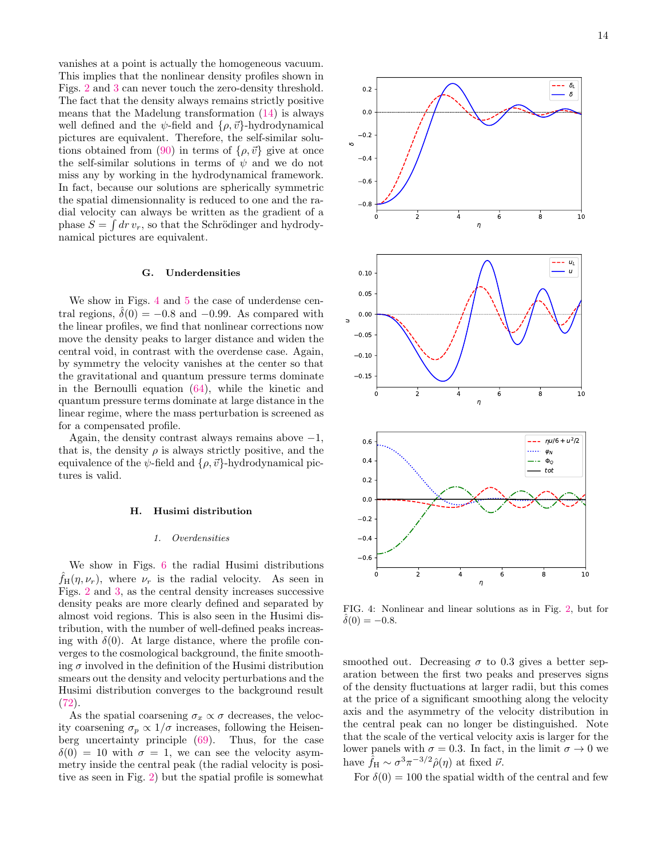vanishes at a point is actually the homogeneous vacuum. This implies that the nonlinear density profiles shown in Figs. [2](#page-11-0) and [3](#page-12-0) can never touch the zero-density threshold. The fact that the density always remains strictly positive means that the Madelung transformation [\(14\)](#page-2-4) is always well defined and the  $\psi$ -field and  $\{\rho, \vec{v}\}\$ -hydrodynamical pictures are equivalent. Therefore, the self-similar solu-tions obtained from [\(90\)](#page-9-1) in terms of  $\{\rho, \vec{v}\}\$ give at once the self-similar solutions in terms of  $\psi$  and we do not miss any by working in the hydrodynamical framework. In fact, because our solutions are spherically symmetric the spatial dimensionnality is reduced to one and the radial velocity can always be written as the gradient of a phase  $S = \int dr v_r$ , so that the Schrödinger and hydrodynamical pictures are equivalent.

#### G. Underdensities

We show in Figs. [4](#page-13-0) and [5](#page-14-1) the case of underdense central regions,  $\delta(0) = -0.8$  and  $-0.99$ . As compared with the linear profiles, we find that nonlinear corrections now move the density peaks to larger distance and widen the central void, in contrast with the overdense case. Again, by symmetry the velocity vanishes at the center so that the gravitational and quantum pressure terms dominate in the Bernoulli equation [\(64\)](#page-6-1), while the kinetic and quantum pressure terms dominate at large distance in the linear regime, where the mass perturbation is screened as for a compensated profile.

Again, the density contrast always remains above  $-1$ , that is, the density  $\rho$  is always strictly positive, and the equivalence of the  $\psi$ -field and  $\{\rho, \vec{v}\}$ -hydrodynamical pictures is valid.

## H. Husimi distribution

#### 1. Overdensities

We show in Figs. [6](#page-15-0) the radial Husimi distributions  $\hat{f}_{H}(\eta, \nu_r)$ , where  $\nu_r$  is the radial velocity. As seen in Figs. [2](#page-11-0) and [3,](#page-12-0) as the central density increases successive density peaks are more clearly defined and separated by almost void regions. This is also seen in the Husimi distribution, with the number of well-defined peaks increasing with  $\delta(0)$ . At large distance, where the profile converges to the cosmological background, the finite smoothing  $\sigma$  involved in the definition of the Husimi distribution smears out the density and velocity perturbations and the Husimi distribution converges to the background result [\(72\)](#page-7-6).

As the spatial coarsening  $\sigma_x \propto \sigma$  decreases, the velocity coarsening  $\sigma_p \propto 1/\sigma$  increases, following the Heisenberg uncertainty principle [\(69\)](#page-6-6). Thus, for the case  $\delta(0) = 10$  with  $\sigma = 1$ , we can see the velocity asymmetry inside the central peak (the radial velocity is positive as seen in Fig. [2\)](#page-11-0) but the spatial profile is somewhat



<span id="page-13-0"></span>FIG. 4: Nonlinear and linear solutions as in Fig. [2,](#page-11-0) but for  $\delta(0) = -0.8$ .

smoothed out. Decreasing  $\sigma$  to 0.3 gives a better separation between the first two peaks and preserves signs of the density fluctuations at larger radii, but this comes at the price of a significant smoothing along the velocity axis and the asymmetry of the velocity distribution in the central peak can no longer be distinguished. Note that the scale of the vertical velocity axis is larger for the lower panels with  $\sigma = 0.3$ . In fact, in the limit  $\sigma \to 0$  we have  $\hat{f}_{\text{H}} \sim \sigma^3 \pi^{-3/2} \hat{\rho}(\eta)$  at fixed  $\vec{\nu}$ .

For  $\delta(0) = 100$  the spatial width of the central and few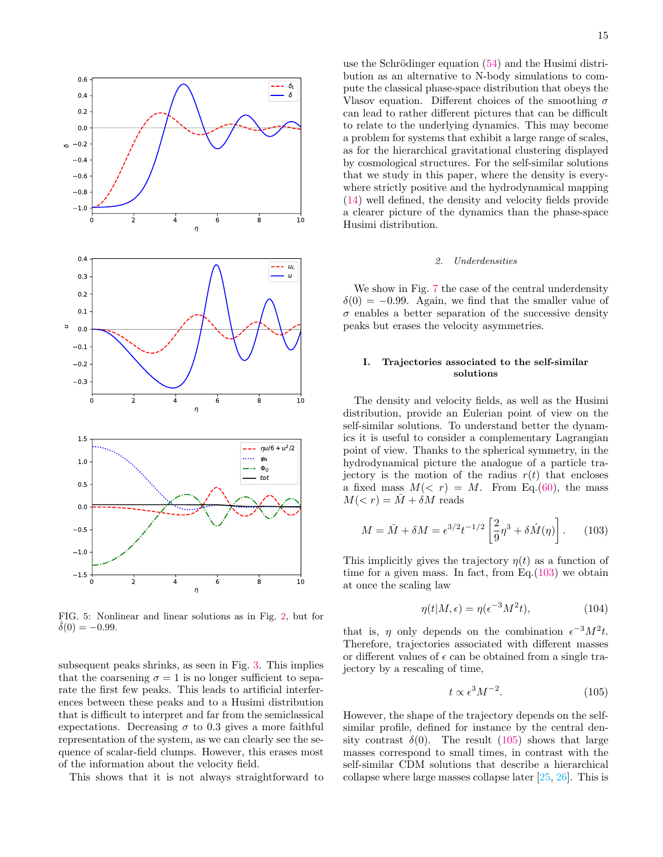

<span id="page-14-1"></span>FIG. 5: Nonlinear and linear solutions as in Fig. [2,](#page-11-0) but for  $\delta(0) = -0.99$ .

subsequent peaks shrinks, as seen in Fig. [3.](#page-12-0) This implies that the coarsening  $\sigma = 1$  is no longer sufficient to separate the first few peaks. This leads to artificial interferences between these peaks and to a Husimi distribution that is difficult to interpret and far from the semiclassical expectations. Decreasing  $\sigma$  to 0.3 gives a more faithful representation of the system, as we can clearly see the sequence of scalar-field clumps. However, this erases most of the information about the velocity field.

This shows that it is not always straightforward to

use the Schrödinger equation  $(54)$  and the Husimi distribution as an alternative to N-body simulations to compute the classical phase-space distribution that obeys the Vlasov equation. Different choices of the smoothing  $\sigma$ can lead to rather different pictures that can be difficult to relate to the underlying dynamics. This may become a problem for systems that exhibit a large range of scales, as for the hierarchical gravitational clustering displayed by cosmological structures. For the self-similar solutions that we study in this paper, where the density is everywhere strictly positive and the hydrodynamical mapping [\(14\)](#page-2-4) well defined, the density and velocity fields provide a clearer picture of the dynamics than the phase-space Husimi distribution.

## 2. Underdensities

We show in Fig. [7](#page-16-0) the case of the central underdensity  $\delta(0) = -0.99$ . Again, we find that the smaller value of  $\sigma$  enables a better separation of the successive density peaks but erases the velocity asymmetries.

## <span id="page-14-0"></span>I. Trajectories associated to the self-similar solutions

The density and velocity fields, as well as the Husimi distribution, provide an Eulerian point of view on the self-similar solutions. To understand better the dynamics it is useful to consider a complementary Lagrangian point of view. Thanks to the spherical symmetry, in the hydrodynamical picture the analogue of a particle trajectory is the motion of the radius  $r(t)$  that encloses a fixed mass  $M(< r) = M$ . From Eq.[\(60\)](#page-6-3), the mass  $M(*r*) = \overline{M} + \delta M$  reads

<span id="page-14-2"></span>
$$
M = \bar{M} + \delta M = \epsilon^{3/2} t^{-1/2} \left[ \frac{2}{9} \eta^3 + \delta \hat{M}(\eta) \right]. \tag{103}
$$

This implicitly gives the trajectory  $\eta(t)$  as a function of time for a given mass. In fact, from Eq. $(103)$  we obtain at once the scaling law

<span id="page-14-4"></span>
$$
\eta(t|M,\epsilon) = \eta(\epsilon^{-3}M^2t),\tag{104}
$$

that is,  $\eta$  only depends on the combination  $\epsilon^{-3}M^2t$ . Therefore, trajectories associated with different masses or different values of  $\epsilon$  can be obtained from a single trajectory by a rescaling of time,

<span id="page-14-3"></span>
$$
t \propto \epsilon^3 M^{-2}.\tag{105}
$$

However, the shape of the trajectory depends on the selfsimilar profile, defined for instance by the central density contrast  $\delta(0)$ . The result [\(105\)](#page-14-3) shows that large masses correspond to small times, in contrast with the self-similar CDM solutions that describe a hierarchical collapse where large masses collapse later [\[25,](#page-20-3) [26\]](#page-20-15). This is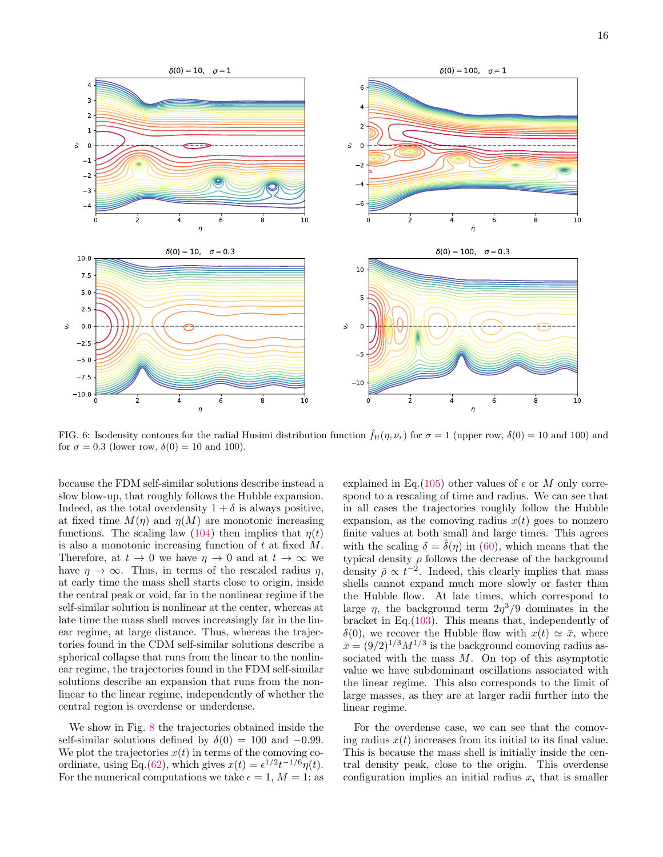

<span id="page-15-0"></span>FIG. 6: Isodensity contours for the radial Husimi distribution function  $\hat{f}_{H}(\eta, \nu_r)$  for  $\sigma = 1$  (upper row,  $\delta(0) = 10$  and 100) and for  $\sigma = 0.3$  (lower row,  $\delta(0) = 10$  and 100).

because the FDM self-similar solutions describe instead a slow blow-up, that roughly follows the Hubble expansion. Indeed, as the total overdensity  $1 + \delta$  is always positive, at fixed time  $M(\eta)$  and  $\eta(M)$  are monotonic increasing functions. The scaling law [\(104\)](#page-14-4) then implies that  $\eta(t)$ is also a monotonic increasing function of t at fixed M. Therefore, at  $t \to 0$  we have  $\eta \to 0$  and at  $t \to \infty$  we have  $\eta \to \infty$ . Thus, in terms of the rescaled radius  $\eta$ , at early time the mass shell starts close to origin, inside the central peak or void, far in the nonlinear regime if the self-similar solution is nonlinear at the center, whereas at late time the mass shell moves increasingly far in the linear regime, at large distance. Thus, whereas the trajectories found in the CDM self-similar solutions describe a spherical collapse that runs from the linear to the nonlinear regime, the trajectories found in the FDM self-similar solutions describe an expansion that runs from the nonlinear to the linear regime, independently of whether the central region is overdense or underdense.

We show in Fig. [8](#page-16-1) the trajectories obtained inside the self-similar solutions defined by  $\delta(0) = 100$  and  $-0.99$ . We plot the trajectories  $x(t)$  in terms of the comoving co-ordinate, using Eq.[\(62\)](#page-6-0), which gives  $x(t) = \epsilon^{1/2} t^{-1/6} \eta(t)$ . For the numerical computations we take  $\epsilon = 1, M = 1$ ; as

explained in Eq.[\(105\)](#page-14-3) other values of  $\epsilon$  or M only correspond to a rescaling of time and radius. We can see that in all cases the trajectories roughly follow the Hubble expansion, as the comoving radius  $x(t)$  goes to nonzero finite values at both small and large times. This agrees with the scaling  $\delta = \hat{\delta}(\eta)$  in [\(60\)](#page-6-3), which means that the typical density  $\rho$  follows the decrease of the background density  $\bar{\rho} \propto t^{-2}$ . Indeed, this clearly implies that mass shells cannot expand much more slowly or faster than the Hubble flow. At late times, which correspond to large  $\eta$ , the background term  $2\eta^3/9$  dominates in the bracket in Eq.[\(103\)](#page-14-2). This means that, independently of  $\delta(0)$ , we recover the Hubble flow with  $x(t) \simeq \bar{x}$ , where  $\bar{x} = (9/2)^{1/3} M^{1/3}$  is the background comoving radius associated with the mass  $M$ . On top of this asymptotic value we have subdominant oscillations associated with the linear regime. This also corresponds to the limit of large masses, as they are at larger radii further into the linear regime.

For the overdense case, we can see that the comoving radius  $x(t)$  increases from its initial to its final value. This is because the mass shell is initially inside the central density peak, close to the origin. This overdense configuration implies an initial radius  $x_i$  that is smaller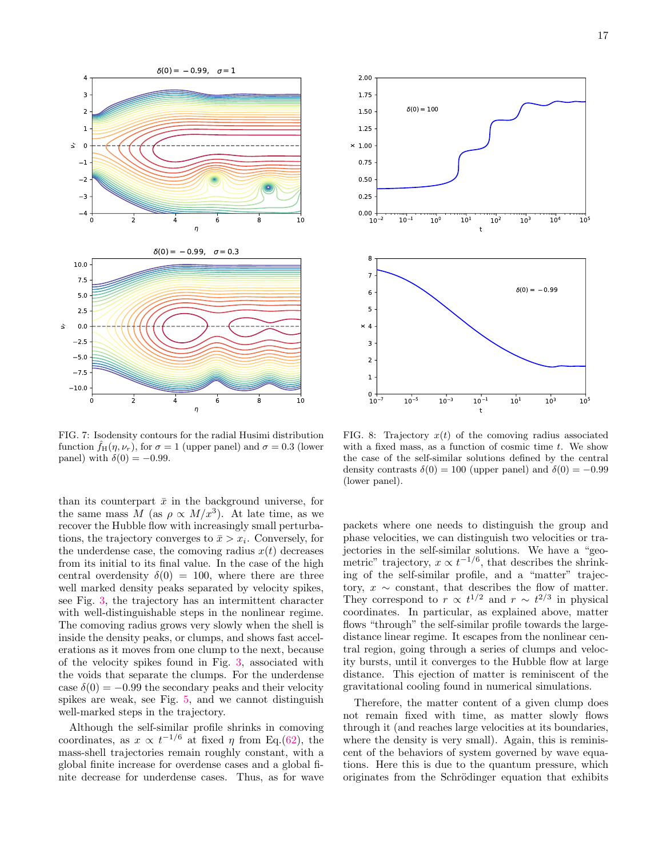

<span id="page-16-0"></span>FIG. 7: Isodensity contours for the radial Husimi distribution function  $f_H(\eta, \nu_r)$ , for  $\sigma = 1$  (upper panel) and  $\sigma = 0.3$  (lower panel) with  $\delta(0) = -0.99$ .

than its counterpart  $\bar{x}$  in the background universe, for the same mass M (as  $\rho \propto M/x^3$ ). At late time, as we recover the Hubble flow with increasingly small perturbations, the trajectory converges to  $\bar{x} > x_i$ . Conversely, for the underdense case, the comoving radius  $x(t)$  decreases from its initial to its final value. In the case of the high central overdensity  $\delta(0) = 100$ , where there are three well marked density peaks separated by velocity spikes, see Fig. [3,](#page-12-0) the trajectory has an intermittent character with well-distinguishable steps in the nonlinear regime. The comoving radius grows very slowly when the shell is inside the density peaks, or clumps, and shows fast accelerations as it moves from one clump to the next, because of the velocity spikes found in Fig. [3,](#page-12-0) associated with the voids that separate the clumps. For the underdense case  $\delta(0) = -0.99$  the secondary peaks and their velocity spikes are weak, see Fig. [5,](#page-14-1) and we cannot distinguish well-marked steps in the trajectory.

Although the self-similar profile shrinks in comoving coordinates, as  $x \propto t^{-1/6}$  at fixed  $\eta$  from Eq.[\(62\)](#page-6-0), the mass-shell trajectories remain roughly constant, with a global finite increase for overdense cases and a global finite decrease for underdense cases. Thus, as for wave



<span id="page-16-1"></span>FIG. 8: Trajectory  $x(t)$  of the comoving radius associated with a fixed mass, as a function of cosmic time  $t$ . We show the case of the self-similar solutions defined by the central density contrasts  $\delta(0) = 100$  (upper panel) and  $\delta(0) = -0.99$ (lower panel).

packets where one needs to distinguish the group and phase velocities, we can distinguish two velocities or trajectories in the self-similar solutions. We have a "geometric" trajectory,  $x \propto t^{-1/6}$ , that describes the shrinking of the self-similar profile, and a "matter" trajectory,  $x \sim$  constant, that describes the flow of matter. They correspond to  $r \propto t^{1/2}$  and  $r \sim t^{2/3}$  in physical coordinates. In particular, as explained above, matter flows "through" the self-similar profile towards the largedistance linear regime. It escapes from the nonlinear central region, going through a series of clumps and velocity bursts, until it converges to the Hubble flow at large distance. This ejection of matter is reminiscent of the gravitational cooling found in numerical simulations.

Therefore, the matter content of a given clump does not remain fixed with time, as matter slowly flows through it (and reaches large velocities at its boundaries, where the density is very small). Again, this is reminiscent of the behaviors of system governed by wave equations. Here this is due to the quantum pressure, which originates from the Schrödinger equation that exhibits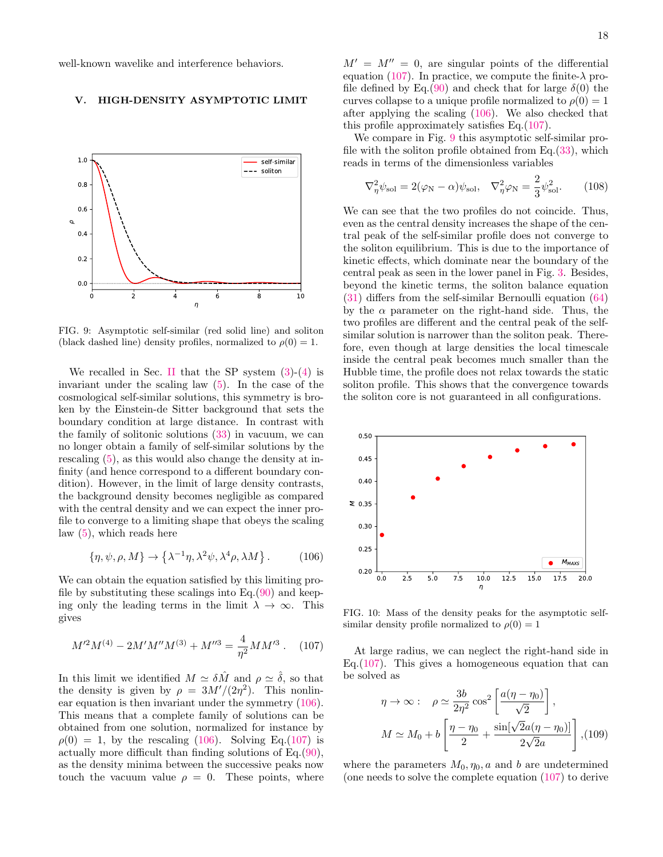well-known wavelike and interference behaviors.

# <span id="page-17-0"></span>V. HIGH-DENSITY ASYMPTOTIC LIMIT



<span id="page-17-3"></span>FIG. 9: Asymptotic self-similar (red solid line) and soliton (black dashed line) density profiles, normalized to  $\rho(0) = 1$ .

We recalled in Sec. [II](#page-1-0) that the SP system  $(3)-(4)$  $(3)-(4)$  $(3)-(4)$  is invariant under the scaling law [\(5\)](#page-1-2). In the case of the cosmological self-similar solutions, this symmetry is broken by the Einstein-de Sitter background that sets the boundary condition at large distance. In contrast with the family of solitonic solutions [\(33\)](#page-4-6) in vacuum, we can no longer obtain a family of self-similar solutions by the rescaling [\(5\)](#page-1-2), as this would also change the density at infinity (and hence correspond to a different boundary condition). However, in the limit of large density contrasts, the background density becomes negligible as compared with the central density and we can expect the inner profile to converge to a limiting shape that obeys the scaling law [\(5\)](#page-1-2), which reads here

<span id="page-17-1"></span>
$$
\{\eta, \psi, \rho, M\} \to \left\{\lambda^{-1}\eta, \lambda^2\psi, \lambda^4\rho, \lambda M\right\}.
$$
 (106)

We can obtain the equation satisfied by this limiting profile by substituting these scalings into  $Eq.(90)$  $Eq.(90)$  and keeping only the leading terms in the limit  $\lambda \to \infty$ . This gives

<span id="page-17-2"></span>
$$
M^{\prime 2}M^{(4)} - 2M^{\prime}M^{\prime\prime}M^{(3)} + M^{\prime\prime 3} = \frac{4}{\eta^2}MM^{\prime 3} .
$$
 (107)

In this limit we identified  $M \simeq \delta \hat{M}$  and  $\rho \simeq \hat{\delta}$ , so that the density is given by  $\rho = 3M'/(2\eta^2)$ . This nonlinear equation is then invariant under the symmetry [\(106\)](#page-17-1). This means that a complete family of solutions can be obtained from one solution, normalized for instance by  $\rho(0) = 1$ , by the rescaling [\(106\)](#page-17-1). Solving Eq.[\(107\)](#page-17-2) is actually more difficult than finding solutions of Eq.[\(90\)](#page-9-1), as the density minima between the successive peaks now touch the vacuum value  $\rho = 0$ . These points, where 18

 $M' = M'' = 0$ , are singular points of the differential equation [\(107\)](#page-17-2). In practice, we compute the finite- $\lambda$  pro-file defined by Eq.[\(90\)](#page-9-1) and check that for large  $\delta(0)$  the curves collapse to a unique profile normalized to  $\rho(0) = 1$ after applying the scaling [\(106\)](#page-17-1). We also checked that this profile approximately satisfies Eq.[\(107\)](#page-17-2).

We compare in Fig. [9](#page-17-3) this asymptotic self-similar profile with the soliton profile obtained from  $Eq.(33)$  $Eq.(33)$ , which reads in terms of the dimensionless variables

$$
\nabla_{\eta}^{2} \psi_{\text{sol}} = 2(\varphi_{\text{N}} - \alpha)\psi_{\text{sol}}, \quad \nabla_{\eta}^{2} \varphi_{\text{N}} = \frac{2}{3}\psi_{\text{sol}}^{2}.
$$
 (108)

We can see that the two profiles do not coincide. Thus, even as the central density increases the shape of the central peak of the self-similar profile does not converge to the soliton equilibrium. This is due to the importance of kinetic effects, which dominate near the boundary of the central peak as seen in the lower panel in Fig. [3.](#page-12-0) Besides, beyond the kinetic terms, the soliton balance equation [\(31\)](#page-4-5) differs from the self-similar Bernoulli equation [\(64\)](#page-6-1) by the  $\alpha$  parameter on the right-hand side. Thus, the two profiles are different and the central peak of the selfsimilar solution is narrower than the soliton peak. Therefore, even though at large densities the local timescale inside the central peak becomes much smaller than the Hubble time, the profile does not relax towards the static soliton profile. This shows that the convergence towards the soliton core is not guaranteed in all configurations.



<span id="page-17-4"></span>FIG. 10: Mass of the density peaks for the asymptotic selfsimilar density profile normalized to  $\rho(0) = 1$ 

At large radius, we can neglect the right-hand side in Eq.  $(107)$ . This gives a homogeneous equation that can be solved as

$$
\eta \to \infty: \quad \rho \simeq \frac{3b}{2\eta^2} \cos^2\left[\frac{a(\eta - \eta_0)}{\sqrt{2}}\right],
$$

$$
M \simeq M_0 + b \left[\frac{\eta - \eta_0}{2} + \frac{\sin[\sqrt{2}a(\eta - \eta_0)]}{2\sqrt{2}a}\right], (109)
$$

where the parameters  $M_0$ ,  $\eta_0$ , a and b are undetermined (one needs to solve the complete equation [\(107\)](#page-17-2) to derive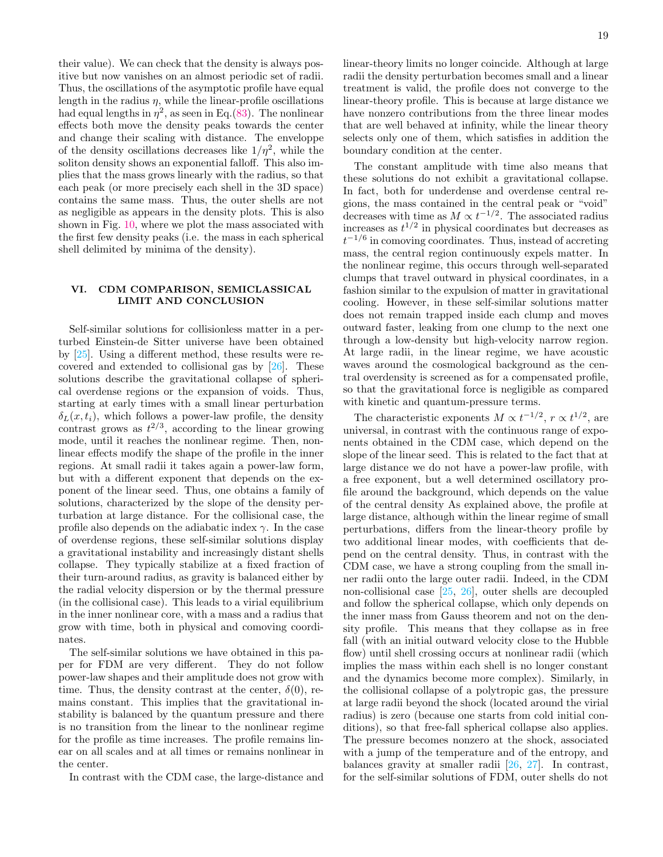their value). We can check that the density is always positive but now vanishes on an almost periodic set of radii. Thus, the oscillations of the asymptotic profile have equal length in the radius  $\eta$ , while the linear-profile oscillations had equal lengths in  $\eta^2$ , as seen in Eq.[\(83\)](#page-8-4). The nonlinear effects both move the density peaks towards the center and change their scaling with distance. The enveloppe of the density oscillations decreases like  $1/\eta^2$ , while the soliton density shows an exponential falloff. This also implies that the mass grows linearly with the radius, so that each peak (or more precisely each shell in the 3D space) contains the same mass. Thus, the outer shells are not as negligible as appears in the density plots. This is also shown in Fig. [10,](#page-17-4) where we plot the mass associated with the first few density peaks (i.e. the mass in each spherical shell delimited by minima of the density).

## <span id="page-18-0"></span>VI. CDM COMPARISON, SEMICLASSICAL LIMIT AND CONCLUSION

Self-similar solutions for collisionless matter in a perturbed Einstein-de Sitter universe have been obtained by [\[25\]](#page-20-3). Using a different method, these results were recovered and extended to collisional gas by [\[26\]](#page-20-15). These solutions describe the gravitational collapse of spherical overdense regions or the expansion of voids. Thus, starting at early times with a small linear perturbation  $\delta_L(x, t_i)$ , which follows a power-law profile, the density contrast grows as  $t^{2/3}$ , according to the linear growing mode, until it reaches the nonlinear regime. Then, nonlinear effects modify the shape of the profile in the inner regions. At small radii it takes again a power-law form, but with a different exponent that depends on the exponent of the linear seed. Thus, one obtains a family of solutions, characterized by the slope of the density perturbation at large distance. For the collisional case, the profile also depends on the adiabatic index  $\gamma$ . In the case of overdense regions, these self-similar solutions display a gravitational instability and increasingly distant shells collapse. They typically stabilize at a fixed fraction of their turn-around radius, as gravity is balanced either by the radial velocity dispersion or by the thermal pressure (in the collisional case). This leads to a virial equilibrium in the inner nonlinear core, with a mass and a radius that grow with time, both in physical and comoving coordinates.

The self-similar solutions we have obtained in this paper for FDM are very different. They do not follow power-law shapes and their amplitude does not grow with time. Thus, the density contrast at the center,  $\delta(0)$ , remains constant. This implies that the gravitational instability is balanced by the quantum pressure and there is no transition from the linear to the nonlinear regime for the profile as time increases. The profile remains linear on all scales and at all times or remains nonlinear in the center.

In contrast with the CDM case, the large-distance and

linear-theory limits no longer coincide. Although at large radii the density perturbation becomes small and a linear treatment is valid, the profile does not converge to the linear-theory profile. This is because at large distance we have nonzero contributions from the three linear modes that are well behaved at infinity, while the linear theory selects only one of them, which satisfies in addition the boundary condition at the center.

The constant amplitude with time also means that these solutions do not exhibit a gravitational collapse. In fact, both for underdense and overdense central regions, the mass contained in the central peak or "void" decreases with time as  $M \propto t^{-1/2}$ . The associated radius increases as  $t^{1/2}$  in physical coordinates but decreases as  $t^{-1/6}$  in comoving coordinates. Thus, instead of accreting mass, the central region continuously expels matter. In the nonlinear regime, this occurs through well-separated clumps that travel outward in physical coordinates, in a fashion similar to the expulsion of matter in gravitational cooling. However, in these self-similar solutions matter does not remain trapped inside each clump and moves outward faster, leaking from one clump to the next one through a low-density but high-velocity narrow region. At large radii, in the linear regime, we have acoustic waves around the cosmological background as the central overdensity is screened as for a compensated profile, so that the gravitational force is negligible as compared with kinetic and quantum-pressure terms.

The characteristic exponents  $M \propto t^{-1/2}$ ,  $r \propto t^{1/2}$ , are universal, in contrast with the continuous range of exponents obtained in the CDM case, which depend on the slope of the linear seed. This is related to the fact that at large distance we do not have a power-law profile, with a free exponent, but a well determined oscillatory profile around the background, which depends on the value of the central density As explained above, the profile at large distance, although within the linear regime of small perturbations, differs from the linear-theory profile by two additional linear modes, with coefficients that depend on the central density. Thus, in contrast with the CDM case, we have a strong coupling from the small inner radii onto the large outer radii. Indeed, in the CDM non-collisional case [\[25,](#page-20-3) [26\]](#page-20-15), outer shells are decoupled and follow the spherical collapse, which only depends on the inner mass from Gauss theorem and not on the density profile. This means that they collapse as in free fall (with an initial outward velocity close to the Hubble flow) until shell crossing occurs at nonlinear radii (which implies the mass within each shell is no longer constant and the dynamics become more complex). Similarly, in the collisional collapse of a polytropic gas, the pressure at large radii beyond the shock (located around the virial radius) is zero (because one starts from cold initial conditions), so that free-fall spherical collapse also applies. The pressure becomes nonzero at the shock, associated with a jump of the temperature and of the entropy, and balances gravity at smaller radii [\[26,](#page-20-15) [27\]](#page-20-4). In contrast, for the self-similar solutions of FDM, outer shells do not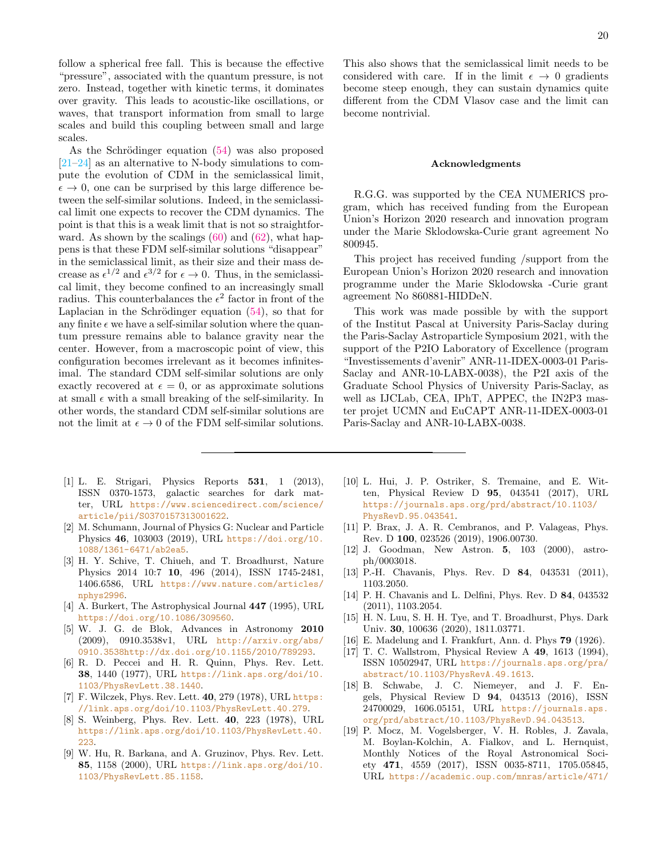follow a spherical free fall. This is because the effective "pressure", associated with the quantum pressure, is not zero. Instead, together with kinetic terms, it dominates over gravity. This leads to acoustic-like oscillations, or waves, that transport information from small to large scales and build this coupling between small and large scales.

As the Schrödinger equation  $(54)$  was also proposed [\[21–](#page-20-1)[24\]](#page-20-2) as an alternative to N-body simulations to compute the evolution of CDM in the semiclassical limit,  $\epsilon \to 0$ , one can be surprised by this large difference between the self-similar solutions. Indeed, in the semiclassical limit one expects to recover the CDM dynamics. The point is that this is a weak limit that is not so straightforward. As shown by the scalings  $(60)$  and  $(62)$ , what happens is that these FDM self-similar solutions "disappear" in the semiclassical limit, as their size and their mass decrease as  $\epsilon^{1/2}$  and  $\epsilon^{3/2}$  for  $\epsilon \to 0$ . Thus, in the semiclassical limit, they become confined to an increasingly small radius. This counterbalances the  $\epsilon^2$  factor in front of the Laplacian in the Schrödinger equation  $(54)$ , so that for any finite  $\epsilon$  we have a self-similar solution where the quantum pressure remains able to balance gravity near the center. However, from a macroscopic point of view, this configuration becomes irrelevant as it becomes infinitesimal. The standard CDM self-similar solutions are only exactly recovered at  $\epsilon = 0$ , or as approximate solutions at small  $\epsilon$  with a small breaking of the self-similarity. In other words, the standard CDM self-similar solutions are not the limit at  $\epsilon \to 0$  of the FDM self-similar solutions.

- <span id="page-19-0"></span>[1] L. E. Strigari, Physics Reports 531, 1 (2013), ISSN 0370-1573, galactic searches for dark matter, URL [https://www.sciencedirect.com/science/](https://www.sciencedirect.com/science/article/pii/S0370157313001622) [article/pii/S0370157313001622](https://www.sciencedirect.com/science/article/pii/S0370157313001622).
- <span id="page-19-1"></span>[2] M. Schumann, Journal of Physics G: Nuclear and Particle Physics 46, 103003 (2019), URL [https://doi.org/10.](https://doi.org/10.1088/1361-6471/ab2ea5) [1088/1361-6471/ab2ea5](https://doi.org/10.1088/1361-6471/ab2ea5).
- <span id="page-19-2"></span>[3] H. Y. Schive, T. Chiueh, and T. Broadhurst, Nature Physics 2014 10:7 10, 496 (2014), ISSN 1745-2481, 1406.6586, URL [https://www.nature.com/articles/](https://www.nature.com/articles/nphys2996) [nphys2996](https://www.nature.com/articles/nphys2996).
- <span id="page-19-3"></span>[4] A. Burkert, The Astrophysical Journal  $447$  (1995), URL <https://doi.org/10.1086/309560>.
- <span id="page-19-4"></span>[5] W. J. G. de Blok, Advances in Astronomy 2010 (2009), 0910.3538v1, URL [http://arxiv.org/abs/](http://arxiv.org/abs/0910.3538 http://dx.doi.org/10.1155/2010/789293) [0910.3538http://dx.doi.org/10.1155/2010/789293](http://arxiv.org/abs/0910.3538 http://dx.doi.org/10.1155/2010/789293).
- <span id="page-19-5"></span>[6] R. D. Peccei and H. R. Quinn, Phys. Rev. Lett. 38, 1440 (1977), URL [https://link.aps.org/doi/10.](https://link.aps.org/doi/10.1103/PhysRevLett.38.1440) [1103/PhysRevLett.38.1440](https://link.aps.org/doi/10.1103/PhysRevLett.38.1440).
- [7] F. Wilczek, Phys. Rev. Lett. 40, 279 (1978), URL [https:](https://link.aps.org/doi/10.1103/PhysRevLett.40.279) [//link.aps.org/doi/10.1103/PhysRevLett.40.279](https://link.aps.org/doi/10.1103/PhysRevLett.40.279).
- <span id="page-19-6"></span>[8] S. Weinberg, Phys. Rev. Lett. 40, 223 (1978), URL [https://link.aps.org/doi/10.1103/PhysRevLett.40.](https://link.aps.org/doi/10.1103/PhysRevLett.40.223) [223](https://link.aps.org/doi/10.1103/PhysRevLett.40.223).
- <span id="page-19-7"></span>[9] W. Hu, R. Barkana, and A. Gruzinov, Phys. Rev. Lett. 85, 1158 (2000), URL [https://link.aps.org/doi/10.](https://link.aps.org/doi/10.1103/PhysRevLett.85.1158) [1103/PhysRevLett.85.1158](https://link.aps.org/doi/10.1103/PhysRevLett.85.1158).

This also shows that the semiclassical limit needs to be considered with care. If in the limit  $\epsilon \to 0$  gradients become steep enough, they can sustain dynamics quite different from the CDM Vlasov case and the limit can become nontrivial.

### Acknowledgments

R.G.G. was supported by the CEA NUMERICS program, which has received funding from the European Union's Horizon 2020 research and innovation program under the Marie Sklodowska-Curie grant agreement No 800945.

This project has received funding /support from the European Union's Horizon 2020 research and innovation programme under the Marie Sklodowska -Curie grant agreement No 860881-HIDDeN.

This work was made possible by with the support of the Institut Pascal at University Paris-Saclay during the Paris-Saclay Astroparticle Symposium 2021, with the support of the P2IO Laboratory of Excellence (program "Investissements d'avenir" ANR-11-IDEX-0003-01 Paris-Saclay and ANR-10-LABX-0038), the P2I axis of the Graduate School Physics of University Paris-Saclay, as well as IJCLab, CEA, IPhT, APPEC, the IN2P3 master projet UCMN and EuCAPT ANR-11-IDEX-0003-01 Paris-Saclay and ANR-10-LABX-0038.

- <span id="page-19-8"></span>[10] L. Hui, J. P. Ostriker, S. Tremaine, and E. Witten, Physical Review D 95, 043541 (2017), URL [https://journals.aps.org/prd/abstract/10.1103/](https://journals.aps.org/prd/abstract/10.1103/PhysRevD.95.043541) [PhysRevD.95.043541](https://journals.aps.org/prd/abstract/10.1103/PhysRevD.95.043541).
- <span id="page-19-9"></span>[11] P. Brax, J. A. R. Cembranos, and P. Valageas, Phys. Rev. D 100, 023526 (2019), 1906.00730.
- <span id="page-19-10"></span>[12] J. Goodman, New Astron. 5, 103 (2000), astroph/0003018.
- <span id="page-19-15"></span>[13] P.-H. Chavanis, Phys. Rev. D **84**, 043531 (2011), 1103.2050.
- [14] P. H. Chavanis and L. Delfini, Phys. Rev. D 84, 043532 (2011), 1103.2054.
- <span id="page-19-11"></span>[15] H. N. Luu, S. H. H. Tye, and T. Broadhurst, Phys. Dark Univ. 30, 100636 (2020), 1811.03771.
- <span id="page-19-12"></span>[16] E. Madelung and I. Frankfurt, Ann. d. Phys 79 (1926).
- <span id="page-19-13"></span>[17] T. C. Wallstrom, Physical Review A 49, 1613 (1994), ISSN 10502947, URL [https://journals.aps.org/pra/](https://journals.aps.org/pra/abstract/10.1103/PhysRevA.49.1613) [abstract/10.1103/PhysRevA.49.1613](https://journals.aps.org/pra/abstract/10.1103/PhysRevA.49.1613).
- <span id="page-19-14"></span>[18] B. Schwabe, J. C. Niemeyer, and J. F. Engels, Physical Review D 94, 043513 (2016), ISSN 24700029, 1606.05151, URL [https://journals.aps.](https://journals.aps.org/prd/abstract/10.1103/PhysRevD.94.043513) [org/prd/abstract/10.1103/PhysRevD.94.043513](https://journals.aps.org/prd/abstract/10.1103/PhysRevD.94.043513).
- [19] P. Mocz, M. Vogelsberger, V. H. Robles, J. Zavala, M. Boylan-Kolchin, A. Fialkov, and L. Hernquist, Monthly Notices of the Royal Astronomical Society 471, 4559 (2017), ISSN 0035-8711, 1705.05845, URL [https://academic.oup.com/mnras/article/471/](https://academic.oup.com/mnras/article/471/4/4559/4035919)